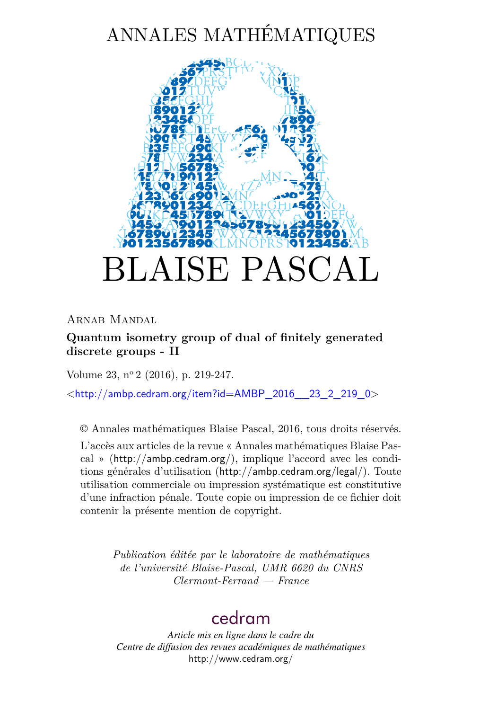# ANNALES MATHÉMATIQUES



ARNAB MANDAL

# **Quantum isometry group of dual of finitely generated discrete groups - II**

Volume 23, n<sup>o</sup> 2 (2016), p. 219-247.

 $\lt$ [http://ambp.cedram.org/item?id=AMBP\\_2016\\_\\_23\\_2\\_219\\_0](http://ambp.cedram.org/item?id=AMBP_2016__23_2_219_0)>

© Annales mathématiques Blaise Pascal, 2016, tous droits réservés.

L'accès aux articles de la revue « Annales mathématiques Blaise Pascal » (<http://ambp.cedram.org/>), implique l'accord avec les conditions générales d'utilisation (<http://ambp.cedram.org/legal/>). Toute utilisation commerciale ou impression systématique est constitutive d'une infraction pénale. Toute copie ou impression de ce fichier doit contenir la présente mention de copyright.

> *Publication éditée par le laboratoire de mathématiques de l'université Blaise-Pascal, UMR 6620 du CNRS Clermont-Ferrand — France*

# [cedram](http://www.cedram.org/)

*Article mis en ligne dans le cadre du Centre de diffusion des revues académiques de mathématiques* <http://www.cedram.org/>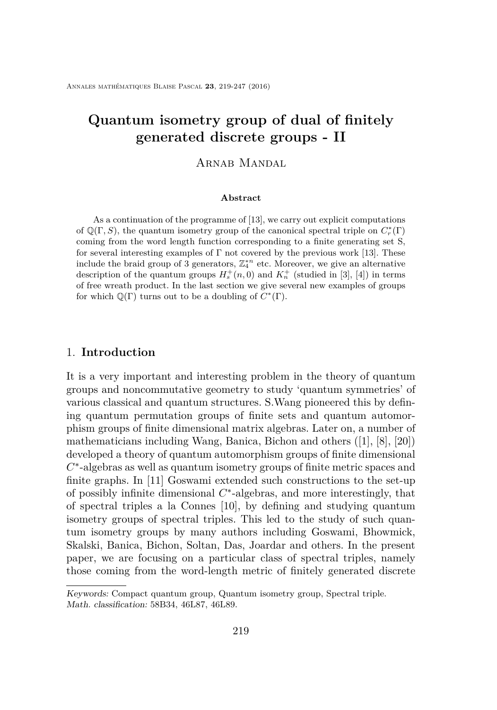# **Quantum isometry group of dual of finitely generated discrete groups - II**

# ARNAB MANDAL

#### **Abstract**

As a continuation of the programme of [\[13\]](#page-28-0), we carry out explicit computations of  $\mathbb{Q}(\Gamma, S)$ , the quantum isometry group of the canonical spectral triple on  $C_r^*(\Gamma)$ coming from the word length function corresponding to a finite generating set S, for several interesting examples of  $\Gamma$  not covered by the previous work [\[13\]](#page-28-0). These include the braid group of 3 generators,  $\mathbb{Z}_4^{*n}$  etc. Moreover, we give an alternative description of the quantum groups  $H_s^+(n,0)$  and  $K_n^+$  (studied in [\[3\]](#page-27-0), [\[4\]](#page-27-1)) in terms of free wreath product. In the last section we give several new examples of groups for which  $\mathbb{Q}(\Gamma)$  turns out to be a doubling of  $C^*(\Gamma)$ .

### 1. **Introduction**

It is a very important and interesting problem in the theory of quantum groups and noncommutative geometry to study 'quantum symmetries' of various classical and quantum structures. S.Wang pioneered this by defining quantum permutation groups of finite sets and quantum automorphism groups of finite dimensional matrix algebras. Later on, a number of mathematicians including Wang, Banica, Bichon and others ([\[1\]](#page-27-2), [\[8\]](#page-28-1), [\[20\]](#page-29-0)) developed a theory of quantum automorphism groups of finite dimensional *C* ∗ -algebras as well as quantum isometry groups of finite metric spaces and finite graphs. In [\[11\]](#page-28-2) Goswami extended such constructions to the set-up of possibly infinite dimensional *C* ∗ -algebras, and more interestingly, that of spectral triples a la Connes [\[10\]](#page-28-3), by defining and studying quantum isometry groups of spectral triples. This led to the study of such quantum isometry groups by many authors including Goswami, Bhowmick, Skalski, Banica, Bichon, Soltan, Das, Joardar and others. In the present paper, we are focusing on a particular class of spectral triples, namely those coming from the word-length metric of finitely generated discrete

Keywords: Compact quantum group, Quantum isometry group, Spectral triple. Math. classification: 58B34, 46L87, 46L89.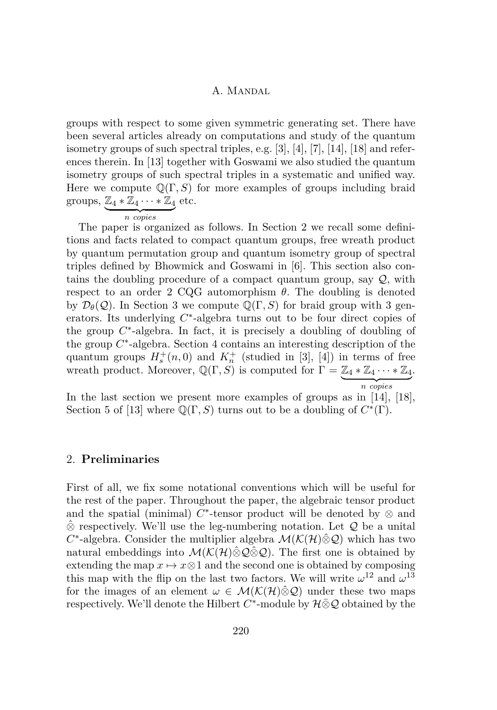groups with respect to some given symmetric generating set. There have been several articles already on computations and study of the quantum isometry groups of such spectral triples, e.g. [\[3\]](#page-27-0), [\[4\]](#page-27-1), [\[7\]](#page-28-4), [\[14\]](#page-28-5), [\[18\]](#page-29-1) and references therein. In [\[13\]](#page-28-0) together with Goswami we also studied the quantum isometry groups of such spectral triples in a systematic and unified way. Here we compute  $\mathbb{Q}(\Gamma, S)$  for more examples of groups including braid groups,  $\mathbb{Z}_4 * \mathbb{Z}_4 \cdots * \mathbb{Z}_4$  etc.

$$
\overbrace{n \text{ copies}}
$$

The paper is organized as follows. In Section [2](#page-2-0) we recall some definitions and facts related to compact quantum groups, free wreath product by quantum permutation group and quantum isometry group of spectral triples defined by Bhowmick and Goswami in [\[6\]](#page-28-6). This section also contains the doubling procedure of a compact quantum group, say  $Q$ , with respect to an order 2 CQG automorphism *θ*. The doubling is denoted by  $\mathcal{D}_{\theta}(\mathcal{Q})$ . In Section [3](#page-12-0) we compute  $\mathbb{Q}(\Gamma, S)$  for braid group with 3 generators. Its underlying  $C^*$ -algebra turns out to be four direct copies of the group  $C^*$ -algebra. In fact, it is precisely a doubling of doubling of the group  $C^*$ -algebra. Section [4](#page-18-0) contains an interesting description of the quantum groups  $H_s^+(n,0)$  and  $K_n^+$  (studied in [\[3\]](#page-27-0), [\[4\]](#page-27-1)) in terms of free wreath product. Moreover,  $\mathbb{Q}(\Gamma, S)$  is computed for  $\Gamma = \mathbb{Z}_4 * \mathbb{Z}_4 \cdots * \mathbb{Z}_4$  $\overline{n}$  copies *n copies* .

In the last section we present more examples of groups as in [\[14\]](#page-28-5), [\[18\]](#page-29-1), Section 5 of [\[13\]](#page-28-0) where  $\mathbb{Q}(\Gamma, S)$  turns out to be a doubling of  $C^*(\Gamma)$ .

## <span id="page-2-0"></span>2. **Preliminaries**

First of all, we fix some notational conventions which will be useful for the rest of the paper. Throughout the paper, the algebraic tensor product and the spatial (minimal)  $C^*$ -tensor product will be denoted by  $\otimes$  and  $\hat{\otimes}$  respectively. We'll use the leg-numbering notation. Let  $\mathcal Q$  be a unital  $C^*$ -algebra. Consider the multiplier algebra  $\mathcal{M}(\mathcal{K}(\mathcal{H})\hat{\otimes}\mathcal{Q})$  which has two natural embeddings into  $\mathcal{M}(\mathcal{K}(\mathcal{H})\hat{\otimes}\mathcal{Q}\hat{\otimes}\mathcal{Q})$ . The first one is obtained by extending the map  $x \mapsto x \otimes 1$  and the second one is obtained by composing this map with the flip on the last two factors. We will write  $\omega^{12}$  and  $\omega^{13}$ for the images of an element  $\omega \in \mathcal{M}(\mathcal{K}(\mathcal{H})\hat{\otimes}\mathcal{Q})$  under these two maps respectively. We'll denote the Hilbert  $C^*$ -module by  $\mathcal{H} \bar{\otimes} \mathcal{Q}$  obtained by the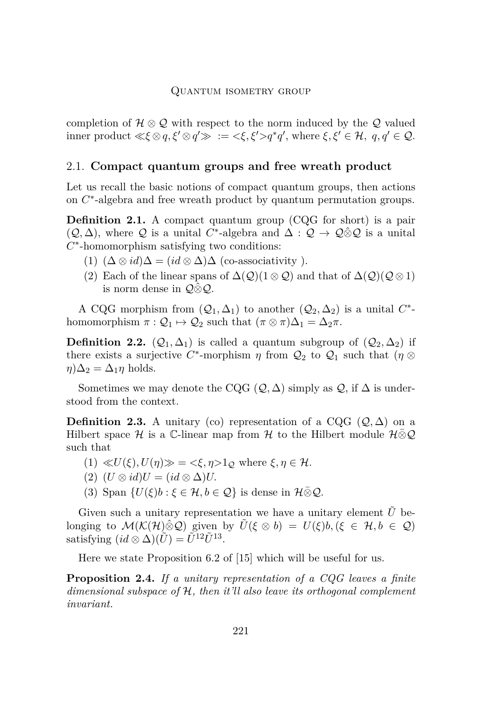#### Quantum isometry group

completion of  $\mathcal{H} \otimes \mathcal{Q}$  with respect to the norm induced by the  $\mathcal{Q}$  valued inner product  $\ll \xi \otimes q$ ,  $\xi' \otimes q' \gg \cdots = \langle \xi, \xi' \rangle q^* q'$ , where  $\xi, \xi' \in \mathcal{H}, q, q' \in \mathcal{Q}$ .

# 2.1. **Compact quantum groups and free wreath product**

Let us recall the basic notions of compact quantum groups, then actions on  $C^*$ -algebra and free wreath product by quantum permutation groups.

**Definition 2.1.** A compact quantum group (CQG for short) is a pair  $(Q, \Delta)$ , where Q is a unital C<sup>\*</sup>-algebra and  $\Delta : Q \to Q \hat{\otimes} Q$  is a unital *C* ∗ -homomorphism satisfying two conditions:

- (1)  $(\Delta \otimes id)\Delta = (id \otimes \Delta)\Delta$  (co-associativity).
- (2) Each of the linear spans of  $\Delta(\mathcal{Q})(1 \otimes \mathcal{Q})$  and that of  $\Delta(\mathcal{Q})(\mathcal{Q} \otimes 1)$ is norm dense in  $\mathcal{Q}\hat{\otimes}\mathcal{Q}$ .

A CQG morphism from  $(Q_1, \Delta_1)$  to another  $(Q_2, \Delta_2)$  is a unital  $C^*$ homomorphism  $\pi : \mathcal{Q}_1 \mapsto \mathcal{Q}_2$  such that  $(\pi \otimes \pi)\Delta_1 = \Delta_2 \pi$ .

**Definition 2.2.**  $(Q_1, \Delta_1)$  is called a quantum subgroup of  $(Q_2, \Delta_2)$  if there exists a surjective  $C^*$ -morphism  $\eta$  from  $\mathcal{Q}_2$  to  $\mathcal{Q}_1$  such that  $(\eta \otimes$  $\eta$ ) $\Delta_2 = \Delta_1 \eta$  holds.

Sometimes we may denote the CQG  $(Q, \Delta)$  simply as  $Q$ , if  $\Delta$  is understood from the context.

**Definition 2.3.** A unitary (co) representation of a CQG  $(Q, \Delta)$  on a Hilbert space H is a C-linear map from H to the Hilbert module  $H\bar{\otimes} \mathcal{Q}$ such that

- $(1) \ll U(\xi), U(\eta) \gg \psi = \langle \xi, \eta \rangle 1_{\mathcal{O}} \text{ where } \xi, \eta \in \mathcal{H}.$
- $(2)$   $(U \otimes id)U = (id \otimes \Delta)U$ .
- (3) Span  $\{U(\xi)b : \xi \in \mathcal{H}, b \in \mathcal{Q}\}\$ is dense in  $\mathcal{H} \overline{\otimes} \mathcal{Q}$ .

Given such a unitary representation we have a unitary element  $\hat{U}$  belonging to  $\mathcal{M}(\mathcal{K}(\mathcal{H})\hat{\otimes}\mathcal{Q})$  given by  $\tilde{U}(\xi\otimes b) = U(\xi)b, (\xi\in\mathcal{H}, b\in\mathcal{Q})$ satisfying  $(id \otimes \Delta)(\tilde{U}) = \tilde{U}^{12} \tilde{U}^{13}$ .

Here we state Proposition 6.2 of [\[15\]](#page-28-7) which will be useful for us.

<span id="page-3-0"></span>**Proposition 2.4.** *If a unitary representation of a CQG leaves a finite dimensional subspace of* H*, then it'll also leave its orthogonal complement invariant.*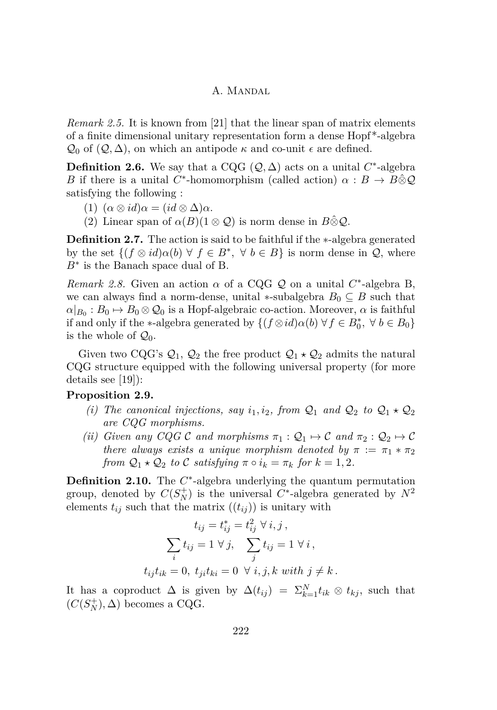*Remark 2.5.* It is known from [\[21\]](#page-29-2) that the linear span of matrix elements of a finite dimensional unitary representation form a dense Hopf \*-algebra  $\mathcal{Q}_0$  of  $(\mathcal{Q}, \Delta)$ , on which an antipode  $\kappa$  and co-unit  $\epsilon$  are defined.

**Definition 2.6.** We say that a CQG  $(Q, \Delta)$  acts on a unital  $C^*$ -algebra *B* if there is a unital *C*<sup>\*</sup>-homomorphism (called action)  $\alpha : B \to B \hat{\otimes} \mathcal{Q}$ satisfying the following :

- (1)  $(\alpha \otimes id) \alpha = (id \otimes \Delta) \alpha$ .
- (2) Linear span of  $\alpha(B)(1 \otimes Q)$  is norm dense in  $B \hat{\otimes} Q$ .

**Definition 2.7.** The action is said to be faithful if the ∗-algebra generated by the set  $\{(f \otimes id)\alpha(b) \forall f \in B^*, \forall b \in B\}$  is norm dense in  $\mathcal{Q}$ , where *B*<sup>∗</sup> is the Banach space dual of B.

*Remark 2.8.* Given an action  $\alpha$  of a CQG  $Q$  on a unital  $C^*$ -algebra B, we can always find a norm-dense, unital  $*$ -subalgebra  $B_0 \subseteq B$  such that  $\alpha|_{B_0}: B_0 \mapsto B_0 \otimes \mathcal{Q}_0$  is a Hopf-algebraic co-action. Moreover,  $\alpha$  is faithful if and only if the \*-algebra generated by  $\{(f \otimes id)\alpha(b) \forall f \in B_0^*, \forall b \in B_0\}$ is the whole of  $\mathcal{Q}_0$ .

Given two CQG's  $\mathcal{Q}_1$ ,  $\mathcal{Q}_2$  the free product  $\mathcal{Q}_1 \star \mathcal{Q}_2$  admits the natural CQG structure equipped with the following universal property (for more details see [\[19\]](#page-29-3)):

## **Proposition 2.9.**

- *(i)* The canonical injections, say  $i_1, i_2$ , from  $\mathcal{Q}_1$  and  $\mathcal{Q}_2$  to  $\mathcal{Q}_1 \star \mathcal{Q}_2$ *are CQG morphisms.*
- *(ii) Given any CQG* C *and morphisms*  $\pi_1 : Q_1 \mapsto C$  *and*  $\pi_2 : Q_2 \mapsto C$ *there always exists a unique morphism denoted by*  $\pi := \pi_1 * \pi_2$ *from*  $Q_1 \star Q_2$  *to* C *satisfying*  $\pi \circ i_k = \pi_k$  *for*  $k = 1, 2$ *.*

Definition 2.10. The  $C^*$ -algebra underlying the quantum permutation group, denoted by  $C(S_N^+)$  is the universal  $C^*$ -algebra generated by  $N^2$ elements  $t_{ij}$  such that the matrix  $((t_{ij}))$  is unitary with

$$
t_{ij} = t_{ij}^* = t_{ij}^2 \ \forall \ i, j,
$$

$$
\sum_i t_{ij} = 1 \ \forall \ j, \quad \sum_j t_{ij} = 1 \ \forall \ i,
$$

$$
t_{ij}t_{ik} = 0, \ t_{ji}t_{ki} = 0 \ \forall \ i, j, k \ with \ j \neq k.
$$

It has a coproduct  $\Delta$  is given by  $\Delta(t_{ij}) = \sum_{k=1}^{N} t_{ik} \otimes t_{kj}$ , such that  $(C(S_N^+), \Delta)$  becomes a CQG.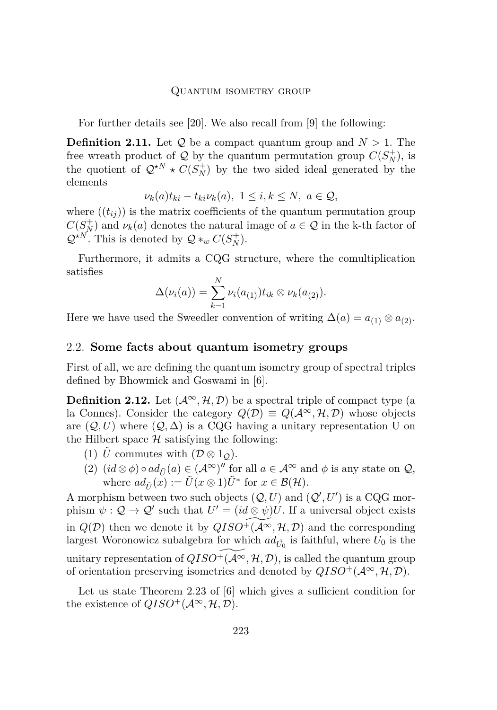#### Quantum isometry group

For further details see [\[20\]](#page-29-0). We also recall from [\[9\]](#page-28-8) the following:

**Definition 2.11.** Let  $Q$  be a compact quantum group and  $N > 1$ . The free wreath product of  $Q$  by the quantum permutation group  $C(S_N^+)$ , is the quotient of  $Q^{\star N} \star C(S_N^+)$  by the two sided ideal generated by the elements

$$
\nu_k(a)t_{ki} - t_{ki}\nu_k(a), \ 1 \le i, k \le N, \ a \in \mathcal{Q},
$$

where  $((t_{ij}))$  is the matrix coefficients of the quantum permutation group  $C(S_N^+)$  and  $\nu_k(a)$  denotes the natural image of  $a \in \mathcal{Q}$  in the k-th factor of  $\mathcal{Q}^{\star N}$ . This is denoted by  $\mathcal{Q} *_{w} C(S_N^+)$ .

Furthermore, it admits a CQG structure, where the comultiplication satisfies

$$
\Delta(\nu_i(a)) = \sum_{k=1}^N \nu_i(a_{(1)}) t_{ik} \otimes \nu_k(a_{(2)}).
$$

Here we have used the Sweedler convention of writing  $\Delta(a) = a_{(1)} \otimes a_{(2)}$ .

# 2.2. **Some facts about quantum isometry groups**

First of all, we are defining the quantum isometry group of spectral triples defined by Bhowmick and Goswami in [\[6\]](#page-28-6).

**Definition 2.12.** Let  $(A^{\infty}, \mathcal{H}, \mathcal{D})$  be a spectral triple of compact type (a la Connes). Consider the category  $Q(\mathcal{D}) \equiv Q(\mathcal{A}^{\infty}, \mathcal{H}, \mathcal{D})$  whose objects are  $(Q, U)$  where  $(Q, \Delta)$  is a CQG having a unitary representation U on the Hilbert space  $H$  satisfying the following:

- (1)  $\tilde{U}$  commutes with  $(\mathcal{D} \otimes 1_{\mathcal{O}})$ .
- (2)  $(id \otimes \phi) \circ ad_{\tilde{U}}(a) \in (\mathcal{A}^{\infty})^{\prime\prime}$  for all  $a \in \mathcal{A}^{\infty}$  and  $\phi$  is any state on  $\mathcal{Q},$ where  $ad_{\tilde{U}}(x) := \tilde{U}(x \otimes 1)\tilde{U}^*$  for  $x \in \mathcal{B}(\mathcal{H})$ .

A morphism between two such objects  $(Q, U)$  and  $(Q', U')$  is a CQG morphism  $\psi : \mathcal{Q} \to \mathcal{Q}'$  such that  $U' = (id \otimes \psi)U$ . If a universal object exists in  $Q(D)$  then we denote it by  $QISO^+(\overline{A^{\infty}}, {\mathcal{H}}, {\mathcal{D}})$  and the corresponding largest Woronowicz subalgebra for which  $ad_{\tilde{U_0}}$  is faithful, where  $U_0$  is the unitary representation of  $QISO^+(\mathcal{A}\infty, \mathcal{H}, \mathcal{D})$ , is called the quantum group of orientation preserving isometries and denoted by  $QISO^+(\mathcal{A}^\infty, \mathcal{H}, \mathcal{D})$ .

Let us state Theorem 2*.*23 of [\[6\]](#page-28-6) which gives a sufficient condition for the existence of  $QISO^+(\mathcal{A}^\infty, \mathcal{H}, \mathcal{D})$ .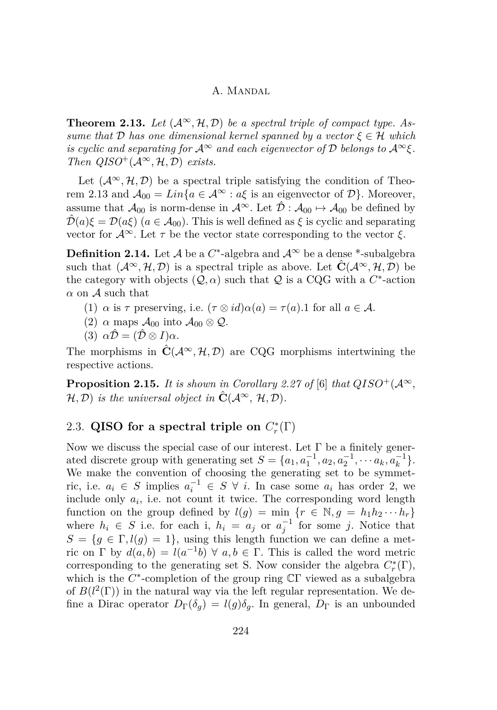<span id="page-6-0"></span>**Theorem 2.13.** Let  $(A^{\infty}, \mathcal{H}, \mathcal{D})$  be a spectral triple of compact type. As*sume that*  $D$  *has one dimensional kernel spanned by a vector*  $\xi \in H$  *which is cyclic and separating for*  $\mathcal{A}^{\infty}$  *and each eigenvector of*  $\mathcal{D}$  *belongs to*  $\mathcal{A}^{\infty}\xi$ *. Then*  $QISO^{+}(\mathcal{A}^{\infty}, \mathcal{H}, \mathcal{D})$  *exists.* 

Let  $(\mathcal{A}^{\infty}, \mathcal{H}, \mathcal{D})$  be a spectral triple satisfying the condition of Theo-rem [2.13](#page-6-0) and  $\mathcal{A}_{00} = Lin\{a \in \mathcal{A}^{\infty} : a\xi \text{ is an eigenvector of } \mathcal{D}\}\.$  Moreover, assume that  $\mathcal{A}_{00}$  is norm-dense in  $\mathcal{A}^{\infty}$ . Let  $\hat{\mathcal{D}}$  :  $\mathcal{A}_{00} \mapsto \mathcal{A}_{00}$  be defined by  $\hat{\mathcal{D}}(a)\xi = \mathcal{D}(a\xi)$  ( $a \in \mathcal{A}_{00}$ ). This is well defined as  $\xi$  is cyclic and separating vector for  $\mathcal{A}^{\infty}$ . Let  $\tau$  be the vector state corresponding to the vector  $\xi$ .

<span id="page-6-2"></span>**Definition 2.14.** Let  $\mathcal A$  be a  $C^*$ -algebra and  $\mathcal A^\infty$  be a dense  $^*$ -subalgebra such that  $(\mathcal{A}^{\infty}, \mathcal{H}, \mathcal{D})$  is a spectral triple as above. Let  $\hat{\mathbf{C}}(\mathcal{A}^{\infty}, \mathcal{H}, \mathcal{D})$  be the category with objects  $(Q, \alpha)$  such that  $Q$  is a CQG with a  $C^*$ -action  $\alpha$  on  $\mathcal A$  such that

- (1)  $\alpha$  is  $\tau$  preserving, i.e.  $(\tau \otimes id)\alpha(a) = \tau(a)$ . for all  $a \in \mathcal{A}$ .
- (2)  $\alpha$  maps  $\mathcal{A}_{00}$  into  $\mathcal{A}_{00} \otimes \mathcal{Q}$ .
- (3)  $\alpha \hat{\mathcal{D}} = (\hat{\mathcal{D}} \otimes I)\alpha$ .

The morphisms in  $\hat{\mathbf{C}}(\mathcal{A}^{\infty}, \mathcal{H}, \mathcal{D})$  are CQG morphisms intertwining the respective actions.

<span id="page-6-1"></span>**Proposition 2.15.** *It is shown in Corollary 2.27 of* [\[6\]](#page-28-6) *that*  $QISO^+(\mathcal{A}^{\infty},\mathcal{A}^{\infty})$  $\mathcal{H}, \mathcal{D}$  *is the universal object in*  $\hat{\mathbf{C}}(\mathcal{A}^{\infty}, \mathcal{H}, \mathcal{D})$ *.* 

# <span id="page-6-3"></span>2.3. QISO for a spectral triple on  $C_r^*(\Gamma)$

Now we discuss the special case of our interest. Let  $\Gamma$  be a finitely generated discrete group with generating set  $S = \{a_1, a_1^{-1}, a_2, a_2^{-1}, \cdots a_k, a_k^{-1}\}.$ We make the convention of choosing the generating set to be symmetric, i.e.  $a_i \in S$  implies  $a_i^{-1} \in S \ \forall i$ . In case some  $a_i$  has order 2, we include only  $a_i$ , i.e. not count it twice. The corresponding word length function on the group defined by  $l(g) = \min \{r \in \mathbb{N}, g = h_1 h_2 \cdots h_r\}$ where  $h_i \in S$  i.e. for each i,  $h_i = a_j$  or  $a_j^{-1}$  for some *j*. Notice that  $S = \{g \in \Gamma, l(g) = 1\}$ , using this length function we can define a metric on  $\Gamma$  by  $d(a, b) = l(a^{-1}b) \forall a, b \in \Gamma$ . This is called the word metric corresponding to the generating set S. Now consider the algebra  $C_r^*(\Gamma)$ , which is the  $C^*$ -completion of the group ring CΓ viewed as a subalgebra of  $B(l^2(\Gamma))$  in the natural way via the left regular representation. We define a Dirac operator  $D_{\Gamma}(\delta_q) = l(g)\delta_q$ . In general,  $D_{\Gamma}$  is an unbounded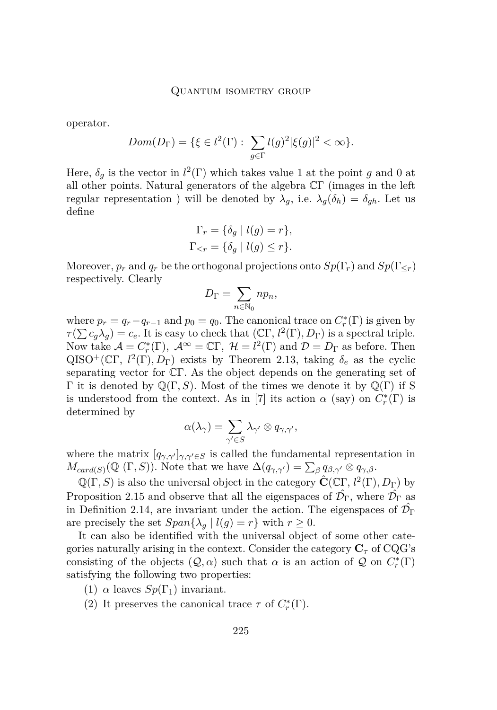operator.

$$
Dom(D_{\Gamma}) = \{ \xi \in l^{2}(\Gamma) : \sum_{g \in \Gamma} l(g)^{2} |\xi(g)|^{2} < \infty \}.
$$

Here,  $\delta_g$  is the vector in  $l^2(\Gamma)$  which takes value 1 at the point *g* and 0 at all other points. Natural generators of the algebra CΓ (images in the left regular representation ) will be denoted by  $\lambda_g$ , i.e.  $\lambda_g(\delta_h) = \delta_{gh}$ . Let us define

$$
\Gamma_r = \{ \delta_g \mid l(g) = r \},
$$
  

$$
\Gamma_{\leq r} = \{ \delta_g \mid l(g) \leq r \}.
$$

Moreover,  $p_r$  and  $q_r$  be the orthogonal projections onto  $Sp(\Gamma_r)$  and  $Sp(\Gamma_{\leq r})$ respectively. Clearly

$$
D_{\Gamma} = \sum_{n \in \mathbb{N}_0} n p_n,
$$

where  $p_r = q_r - q_{r-1}$  and  $p_0 = q_0$ . The canonical trace on  $C_r^*(\Gamma)$  is given by  $\tau(\sum c_g \lambda_g) = c_e$ . It is easy to check that  $( \mathbb{C} \Gamma, l^2(\Gamma), D_{\Gamma} )$  is a spectral triple. Now take  $\mathcal{A} = C_r^*(\Gamma)$ ,  $\mathcal{A}^{\infty} = \mathbb{C}\Gamma$ ,  $\mathcal{H} = l^2(\Gamma)$  and  $\mathcal{D} = D_{\Gamma}$  as before. Then QISO<sup>+</sup>(CΓ,  $l^2(\Gamma), D_{\Gamma}$ ) exists by Theorem [2.13,](#page-6-0) taking  $\delta_e$  as the cyclic separating vector for CΓ. As the object depends on the generating set of Γ it is denoted by  $\mathbb{Q}(\Gamma, S)$ . Most of the times we denote it by  $\mathbb{Q}(\Gamma)$  if S is understood from the context. As in [\[7\]](#page-28-4) its action  $\alpha$  (say) on  $C_r^*(\Gamma)$  is determined by

$$
\alpha(\lambda_\gamma)=\sum_{\gamma'\in S}\lambda_{\gamma'}\otimes q_{\gamma,\gamma'},
$$

where the matrix  $[q_{\gamma,\gamma'}]_{\gamma,\gamma'\in S}$  is called the fundamental representation in  $M_{card(S)}(\mathbb{Q}(\Gamma, S))$ . Note that we have  $\Delta(q_{\gamma,\gamma'}) = \sum_{\beta} q_{\beta,\gamma'} \otimes q_{\gamma,\beta}$ .

 $\mathbb{Q}(\Gamma, S)$  is also the universal object in the category  $\hat{\mathbf{C}}(\mathbb{C}\Gamma, l^2(\Gamma), D_{\Gamma})$  by Proposition [2.15](#page-6-1) and observe that all the eigenspaces of  $\hat{\mathcal{D}}_{\Gamma}$ , where  $\hat{\mathcal{D}}_{\Gamma}$  as in Definition [2.14,](#page-6-2) are invariant under the action. The eigenspaces of  $\hat{\mathcal{D}_{\Gamma}}$ are precisely the set  $Span\{\lambda_g \mid l(g) = r\}$  with  $r \geq 0$ .

It can also be identified with the universal object of some other categories naturally arising in the context. Consider the category  $C_{\tau}$  of CQG's consisting of the objects  $(Q, \alpha)$  such that  $\alpha$  is an action of  $Q$  on  $C^*_{r}(\Gamma)$ satisfying the following two properties:

- (1)  $\alpha$  leaves  $Sp(\Gamma_1)$  invariant.
- (2) It preserves the canonical trace  $\tau$  of  $C_r^*(\Gamma)$ .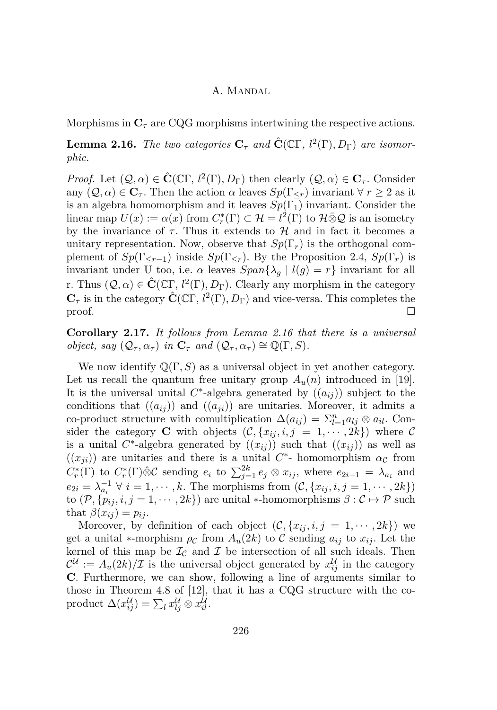Morphisms in  $\mathbb{C}_{\tau}$  are CQG morphisms intertwining the respective actions.

<span id="page-8-0"></span>**Lemma 2.16.** *The two categories*  $C_{\tau}$  *and*  $\hat{\mathbf{C}}(\mathbb{C}\Gamma, l^2(\Gamma), D_{\Gamma})$  *are isomorphic.*

*Proof.* Let  $(Q, \alpha) \in \hat{\mathbf{C}}(\mathbb{C}\Gamma, l^2(\Gamma), D_{\Gamma})$  then clearly  $(Q, \alpha) \in \mathbf{C}_{\tau}$ . Consider any  $(Q, \alpha) \in \mathbb{C}_{\tau}$ . Then the action  $\alpha$  leaves  $Sp(\Gamma_{\leq \tau})$  invariant  $\forall r \geq 2$  as it is an algebra homomorphism and it leaves  $Sp(\Gamma_1)$  invariant. Consider the linear map  $U(x) := \alpha(x)$  from  $C_r^*(\Gamma) \subset \mathcal{H} = l^2(\Gamma)$  to  $\mathcal{H} \bar{\otimes} \mathcal{Q}$  is an isometry by the invariance of  $\tau$ . Thus it extends to  $\mathcal H$  and in fact it becomes a unitary representation. Now, observe that  $Sp(\Gamma_r)$  is the orthogonal complement of  $Sp(\Gamma_{\leq r-1})$  inside  $Sp(\Gamma_{\leq r})$ . By the Proposition [2.4,](#page-3-0)  $Sp(\Gamma_r)$  is invariant under  $\overline{U}$  too, i.e.  $\alpha$  leaves  $Span\{\lambda_g \mid l(g) = r\}$  invariant for all r. Thus  $(Q, \alpha) \in \hat{\mathbf{C}}(\mathbb{C}\Gamma, l^2(\Gamma), D_{\Gamma})$ . Clearly any morphism in the category  $\mathbf{C}_{\tau}$  is in the category  $\hat{\mathbf{C}}(\mathbb{C}\Gamma, l^2(\Gamma), D_{\Gamma})$  and vice-versa. This completes the proof.

<span id="page-8-1"></span>**Corollary 2.17.** *It follows from Lemma [2.16](#page-8-0) that there is a universal object, say*  $(Q_\tau, \alpha_\tau)$  *in*  $\mathbf{C}_\tau$  *and*  $(Q_\tau, \alpha_\tau) \cong \mathbb{Q}(\Gamma, S)$ *.* 

We now identify  $\mathbb{Q}(\Gamma, S)$  as a universal object in yet another category. Let us recall the quantum free unitary group  $A_u(n)$  introduced in [\[19\]](#page-29-3). It is the universal unital  $C^*$ -algebra generated by  $((a_{ij}))$  subject to the conditions that  $((a_{ij}))$  and  $((a_{ji}))$  are unitaries. Moreover, it admits a co-product structure with comultiplication  $\Delta(a_{ij}) = \sum_{l=1}^{n} a_{lj} \otimes a_{il}$ . Consider the category **C** with objects  $(C, \{x_{ij}, i, j = 1, \dots, 2k\})$  where C is a unital  $C^*$ -algebra generated by  $((x_{ij})$  such that  $((x_{ij}))$  as well as  $((x_{ji}))$  are unitaries and there is a unital  $C^*$ - homomorphism  $\alpha_c$  from  $C_r^*(\Gamma)$  to  $C_r^*(\Gamma) \hat{\otimes} \mathcal{C}$  sending  $e_i$  to  $\sum_{j=1}^{2k} e_j \otimes x_{ij}$ , where  $e_{2i-1} = \lambda_{a_i}$  and  $e_{2i} = \lambda_{a_i}^{-1} \ \forall \ i = 1, \cdots, k.$  The morphisms from  $(C, \{x_{ij}, i, j = 1, \cdots, 2k\})$ to  $(\mathcal{P}, \{p_{ij}, i, j = 1, \dots, 2k\})$  are unital \*-homomorphisms  $\beta : \mathcal{C} \mapsto \mathcal{P}$  such that  $\beta(x_{ij}) = p_{ij}$ .

Moreover, by definition of each object  $(C, \{x_{ij}, i, j = 1, \dots, 2k\})$  we get a unital  $*$ -morphism  $\rho_c$  from  $A_u(2k)$  to C sending  $a_{ij}$  to  $x_{ij}$ . Let the kernel of this map be  $\mathcal{I}_{\mathcal{C}}$  and  $\mathcal{I}$  be intersection of all such ideals. Then  $\mathcal{C}^{\mathcal{U}} := A_u(2k)/\mathcal{I}$  is the universal object generated by  $x_{ij}^{\mathcal{U}}$  in the category **C**. Furthermore, we can show, following a line of arguments similar to those in Theorem 4.8 of [\[12\]](#page-28-9), that it has a CQG structure with the co- $\text{product }\Delta(x_{ij}^{\mathcal{U}}) = \sum_{l} x_{lj}^{\mathcal{U}} \otimes x_{il}^{\mathcal{U}}.$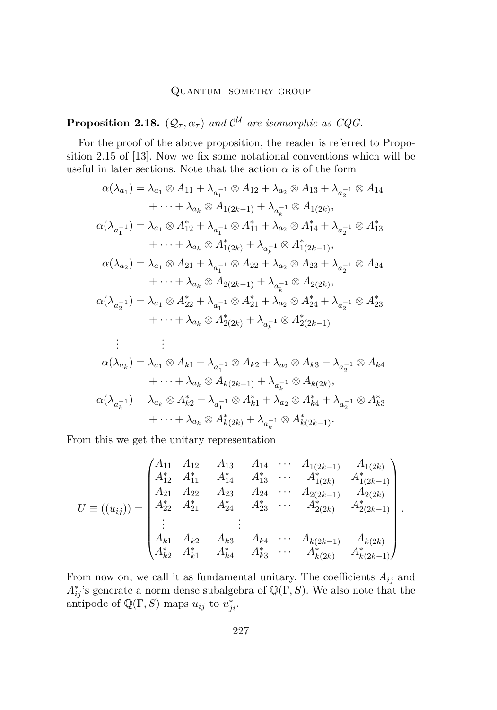# Quantum isometry group

# <span id="page-9-0"></span>**Proposition 2.18.**  $(Q_{\tau}, \alpha_{\tau})$  and  $\mathcal{C}^{\mathcal{U}}$  are isomorphic as CQG.

For the proof of the above proposition, the reader is referred to Proposition 2.15 of [\[13\]](#page-28-0). Now we fix some notational conventions which will be useful in later sections. Note that the action  $\alpha$  is of the form

$$
\alpha(\lambda_{a_1}) = \lambda_{a_1} \otimes A_{11} + \lambda_{a_1^{-1}} \otimes A_{12} + \lambda_{a_2} \otimes A_{13} + \lambda_{a_2^{-1}} \otimes A_{14} \n+ \cdots + \lambda_{a_k} \otimes A_{1(2k-1)} + \lambda_{a_k^{-1}} \otimes A_{1(2k)},
$$
\n
$$
\alpha(\lambda_{a_1^{-1}}) = \lambda_{a_1} \otimes A_{12}^* + \lambda_{a_1^{-1}} \otimes A_{11}^* + \lambda_{a_2} \otimes A_{14}^* + \lambda_{a_2^{-1}} \otimes A_{13}^* \n+ \cdots + \lambda_{a_k} \otimes A_{1(2k)}^* + \lambda_{a_k^{-1}} \otimes A_{1(2k-1)}^*,
$$
\n
$$
\alpha(\lambda_{a_2}) = \lambda_{a_1} \otimes A_{21} + \lambda_{a_1^{-1}} \otimes A_{22} + \lambda_{a_2} \otimes A_{23} + \lambda_{a_2^{-1}} \otimes A_{24} \n+ \cdots + \lambda_{a_k} \otimes A_{2(2k-1)} + \lambda_{a_k^{-1}} \otimes A_{2(2k)},
$$
\n
$$
\alpha(\lambda_{a_2^{-1}}) = \lambda_{a_1} \otimes A_{22}^* + \lambda_{a_1^{-1}} \otimes A_{21}^* + \lambda_{a_2} \otimes A_{24}^* + \lambda_{a_2^{-1}} \otimes A_{23}^*
$$
\n
$$
+ \cdots + \lambda_{a_k} \otimes A_{2(2k)}^* + \lambda_{a_k^{-1}} \otimes A_{2(2k-1)}^*
$$
\n
$$
\vdots \qquad \vdots
$$
\n
$$
\alpha(\lambda_{a_k}) = \lambda_{a_1} \otimes A_{k1} + \lambda_{a_1^{-1}} \otimes A_{k2} + \lambda_{a_2} \otimes A_{k3} + \lambda_{a_2^{-1}} \otimes A_{k4} \n+ \cdots + \lambda_{a_k} \otimes A_{k(2k-1)} + \lambda_{a_k^{-1}} \otimes A_{k(2k)},
$$
\n
$$
\alpha(\lambda_{a_k^{-1}}) = \lambda_{a_k} \otimes A_{k2}^* + \lambda_{a_1^{-1}} \otimes A_{k1}^* +
$$

From this we get the unitary representation

*U* ≡ ((*uij* )) = *A*<sup>11</sup> *A*<sup>12</sup> *A*<sup>13</sup> *A*<sup>14</sup> · · · *A*1(2*k*−1) *A*1(2*k*) *A*∗ <sup>12</sup> *A*<sup>∗</sup> <sup>11</sup> *A*<sup>∗</sup> <sup>14</sup> *A*<sup>∗</sup> <sup>13</sup> · · · *A*<sup>∗</sup> 1(2*k*) *<sup>A</sup>*<sup>∗</sup> 1(2*k*−1) *A*<sup>21</sup> *A*<sup>22</sup> *A*<sup>23</sup> *A*<sup>24</sup> · · · *A*2(2*k*−1) *A*2(2*k*) *A*∗ <sup>22</sup> *A*<sup>∗</sup> <sup>21</sup> *A*<sup>∗</sup> <sup>24</sup> *A*<sup>∗</sup> <sup>23</sup> · · · *A*<sup>∗</sup> 2(2*k*) *<sup>A</sup>*<sup>∗</sup> 2(2*k*−1) . . . . . . *Ak*<sup>1</sup> *Ak*<sup>2</sup> *Ak*<sup>3</sup> *Ak*<sup>4</sup> · · · *Ak*(2*k*−1) *Ak*(2*k*) *A*∗ *<sup>k</sup>*<sup>2</sup> *A*<sup>∗</sup> *<sup>k</sup>*<sup>1</sup> *A*<sup>∗</sup> *<sup>k</sup>*<sup>4</sup> *A*<sup>∗</sup> *k*3 · · · *A*<sup>∗</sup> *<sup>k</sup>*(2*k*) *<sup>A</sup>*<sup>∗</sup> *k*(2*k*−1) *.*

From now on, we call it as fundamental unitary. The coefficients  $A_{ij}$  and  $A_{ij}^*$ 's generate a norm dense subalgebra of  $\mathbb{Q}(\Gamma, S)$ . We also note that the antipode of  $\mathbb{Q}(\Gamma, S)$  maps  $u_{ij}$  to  $u_{ji}^*$ .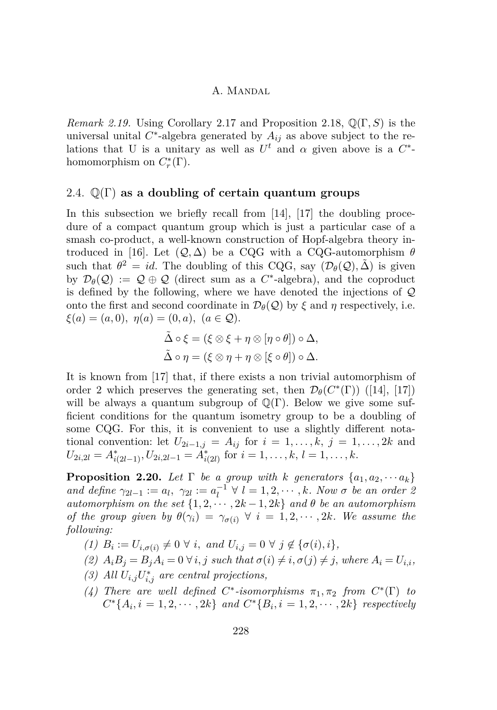*Remark 2.19.* Using Corollary [2.17](#page-8-1) and Proposition [2.18,](#page-9-0) Q(Γ*, S*) is the universal unital  $C^*$ -algebra generated by  $A_{ij}$  as above subject to the relations that U is a unitary as well as  $U^t$  and  $\alpha$  given above is a  $C^*$ homomorphism on  $C_r^*(\Gamma)$ .

#### <span id="page-10-1"></span>2.4. Q(Γ) **as a doubling of certain quantum groups**

In this subsection we briefly recall from [\[14\]](#page-28-5), [\[17\]](#page-28-10) the doubling procedure of a compact quantum group which is just a particular case of a smash co-product, a well-known construction of Hopf-algebra theory in-troduced in [\[16\]](#page-28-11). Let  $(Q, \Delta)$  be a CQG with a CQG-automorphism  $\theta$ such that  $\theta^2 = id$ . The doubling of this CQG, say  $(\mathcal{D}_{\theta}(\mathcal{Q}), \tilde{\Delta})$  is given by  $\mathcal{D}_{\theta}(\mathcal{Q}) := \mathcal{Q} \oplus \mathcal{Q}$  (direct sum as a  $C^*$ -algebra), and the coproduct is defined by the following, where we have denoted the injections of  $\mathcal Q$ onto the first and second coordinate in  $\mathcal{D}_{\theta}(\mathcal{Q})$  by  $\xi$  and  $\eta$  respectively, i.e.  $\xi(a) = (a, 0), \eta(a) = (0, a), (a \in \mathcal{Q}).$ 

$$
\tilde{\Delta} \circ \xi = (\xi \otimes \xi + \eta \otimes [\eta \circ \theta]) \circ \Delta,
$$
  

$$
\tilde{\Delta} \circ \eta = (\xi \otimes \eta + \eta \otimes [\xi \circ \theta]) \circ \Delta.
$$

It is known from [\[17\]](#page-28-10) that, if there exists a non trivial automorphism of order 2 which preserves the generating set, then  $\mathcal{D}_{\theta}(C^*(\Gamma))$  ([\[14\]](#page-28-5), [\[17\]](#page-28-10)) will be always a quantum subgroup of  $\mathbb{Q}(\Gamma)$ . Below we give some sufficient conditions for the quantum isometry group to be a doubling of some CQG. For this, it is convenient to use a slightly different notational convention: let  $U_{2i-1,j} = A_{ij}$  for  $i = 1, \ldots, k, j = 1, \ldots, 2k$  and  $U_{2i,2l} = A_{i(2l-1)}^*$ ,  $U_{2i,2l-1} = \tilde{A}_{i(2l)}^*$  for  $i = 1, \ldots, k, l = 1, \ldots, k$ .

<span id="page-10-0"></span>**Proposition 2.20.** Let  $\Gamma$  be a group with  $k$  generators  $\{a_1, a_2, \dots a_k\}$ *and define*  $\gamma_{2l-1} := a_l, \ \gamma_{2l} := a_l^{-1} \ \forall \ l = 1, 2, \cdots, k$ *. Now*  $\sigma$  *be an order 2 automorphism on the set*  $\{1, 2, \cdots, 2k - 1, 2k\}$  *and*  $\theta$  *be an automorphism of the group given by*  $\theta(\gamma_i) = \gamma_{\sigma(i)} \ \forall \ i = 1, 2, \cdots, 2k$ *. We assume the following:*

- $(1)$   $B_i := U_{i, \sigma(i)} \neq 0 \ \forall \ i, \ and \ U_{i,j} = 0 \ \forall \ j \notin \{\sigma(i), i\},\$
- (2)  $A_iB_j = B_jA_i = 0 \,\forall i, j \text{ such that } \sigma(i) \neq i, \sigma(j) \neq j, \text{ where } A_i = U_{i,i},$
- (3) All  $U_{i,j}U_{i,j}^*$  are central projections,
- *(4) There are well defined*  $C^*$ -isomorphisms  $\pi_1, \pi_2$  *from*  $C^*(\Gamma)$  *to*  $C^*\{A_i, i = 1, 2, \cdots, 2k\}$  *and*  $C^*\{B_i, i = 1, 2, \cdots, 2k\}$  *respectively*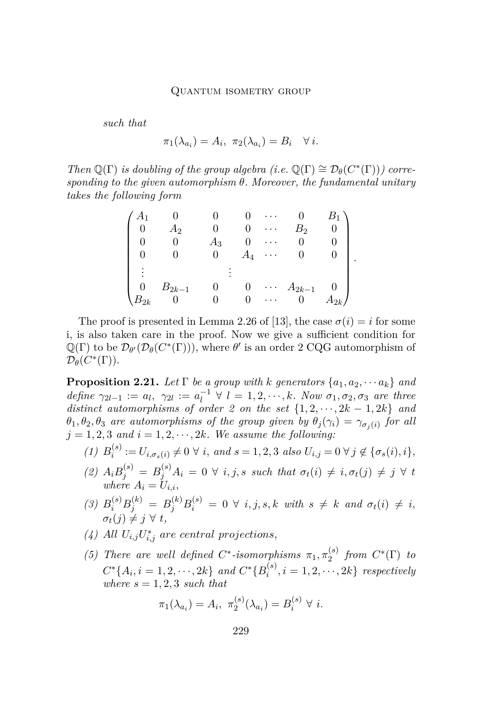*such that*

$$
\pi_1(\lambda_{a_i}) = A_i, \ \pi_2(\lambda_{a_i}) = B_i \quad \forall i.
$$

*Then*  $\mathbb{Q}(\Gamma)$  *is doubling of the group algebra (i.e.*  $\mathbb{Q}(\Gamma) \cong \mathcal{D}_{\theta}(C^*(\Gamma))$ *) corresponding to the given automorphism θ. Moreover, the fundamental unitary takes the following form*

|          |            |       |       | $\ddot{\phantom{0}}$ |            |          |
|----------|------------|-------|-------|----------------------|------------|----------|
|          | Aэ         |       |       |                      | $B_{2}$    |          |
|          |            | $A_3$ |       |                      |            |          |
|          |            |       | $A_4$ | $\cdot$              |            |          |
|          |            |       |       |                      |            |          |
|          |            |       |       |                      |            |          |
|          | $B_{2k-1}$ |       |       | $\ddots$<br>٠        | $A_{2k-1}$ |          |
| $v_{2k}$ |            |       |       |                      |            | $A_{2k}$ |

*.*

The proof is presented in Lemma 2.26 of [\[13\]](#page-28-0), the case  $\sigma(i) = i$  for some i, is also taken care in the proof. Now we give a sufficient condition for  $\mathbb{Q}(\Gamma)$  to be  $\mathcal{D}_{\theta'}(\mathcal{D}_{\theta}(C^*(\Gamma))),$  where  $\theta'$  is an order 2 CQG automorphism of  $\mathcal{D}_{\theta}(C^*(\Gamma)).$ 

<span id="page-11-0"></span>**Proposition 2.21.** Let  $\Gamma$  be a group with  $k$  generators  $\{a_1, a_2, \cdots a_k\}$  and  $define \ \gamma_{2l-1} := a_l, \ \gamma_{2l} := a_l^{-1} \ \forall \ l = 1, 2, \cdots, k. \ Now \ \sigma_1, \sigma_2, \sigma_3 \ \ are \ three$ *distinct automorphisms of order 2 on the set*  $\{1, 2, \dots, 2k - 1, 2k\}$  *and*  $\theta_1$ ,  $\theta_2$ ,  $\theta_3$  *are automorphisms of the group given by*  $\theta_j(\gamma_i) = \gamma_{\sigma_j(i)}$  *for all*  $j = 1, 2, 3$  *and*  $i = 1, 2, \dots, 2k$ *. We assume the following:* 

- $(1)$   $B_i^{(s)}$  $i^{(s)} := U_{i, \sigma_s(i)} \neq 0 \ \forall \ i, \ and \ s = 1, 2, 3 \ also \ U_{i,j} = 0 \ \forall \ j \notin \{\sigma_s(i), i\},\$
- $(2)$   $A_i B_j^{(s)} = B_j^{(s)} A_i = 0 \ \forall \ i, j, s \ such \ that \ \sigma_t(i) \neq i, \sigma_t(j) \neq j \ \forall \ t$ *where*  $A_i = U_{i,i}$ ,
- (3)  $B_i^{(s)}B_j^{(k)} = B_j^{(k)}B_i^{(s)} = 0 \forall i, j, s, k \text{ with } s \neq k \text{ and } \sigma_t(i) \neq i$  $\sigma_t(j) \neq j \,\,\forall \,\, t$ ,
- (4) All  $U_{i,j}U_{i,j}^*$  are central projections,
- *(5) There are well defined*  $C^*$ -*isomorphisms*  $\pi_1, \pi_2^{(s)}$  $\int_2^{(s)}$  *from*  $C^*(\Gamma)$  *to*  $C^*{A_i, i = 1, 2, \cdots, 2k}$  *and*  $C^*{B_i^{(s)}}$  $\{a_i^{(s)}, i = 1, 2, \cdots, 2k\}$  *respectively where*  $s = 1, 2, 3$  *such that*

$$
\pi_1(\lambda_{a_i}) = A_i, \ \pi_2^{(s)}(\lambda_{a_i}) = B_i^{(s)} \ \forall \ i.
$$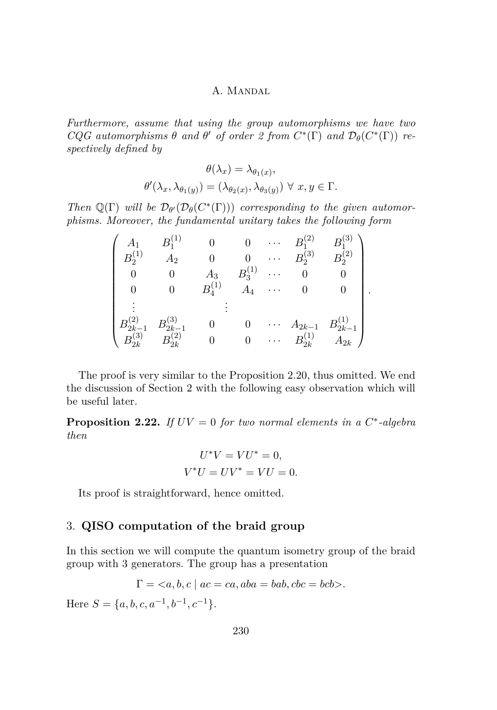*Furthermore, assume that using the group automorphisms we have two*  $CQG$  *automorphisms*  $\theta$  *and*  $\theta'$  *of order 2 from*  $C^*(\Gamma)$  *and*  $\mathcal{D}_{\theta}(C^*(\Gamma))$  *respectively defined by*

$$
\theta(\lambda_x) = \lambda_{\theta_1(x)},
$$
  

$$
\theta'(\lambda_x, \lambda_{\theta_1(y)}) = (\lambda_{\theta_2(x)}, \lambda_{\theta_3(y)}) \ \forall \ x, y \in \Gamma.
$$

*Then*  $\mathbb{Q}(\Gamma)$  *will be*  $\mathcal{D}_{\theta}(\mathcal{D}_{\theta}(C^*(\Gamma)))$  *corresponding to the given automorphisms. Moreover, the fundamental unitary takes the following form*

|                                   |                      |       |                    |                      | ົດ                      | ັດ                  |  |
|-----------------------------------|----------------------|-------|--------------------|----------------------|-------------------------|---------------------|--|
|                                   | 419                  |       |                    |                      | $\left(3\right)$<br>Jò. | $\tilde{B_2^{(2)}}$ |  |
|                                   |                      | $A_3$ | $B_3^{\backslash}$ |                      |                         |                     |  |
|                                   |                      |       | $A_4$              |                      |                         |                     |  |
|                                   |                      |       |                    |                      |                         |                     |  |
| $\sigma_{2k- \over (3)}$          | $B_{2k-1}$           |       |                    |                      | $A_{2k-1}$              | $B_{2k-1}$          |  |
| $B_{2k}^{\scriptscriptstyle\vee}$ | $^{\prime}2$ ,<br>2k |       |                    | $\ddot{\phantom{0}}$ | $B^{(1)}_{2k}$          | $A_{2k}$            |  |

The proof is very similar to the Proposition [2.20,](#page-10-0) thus omitted. We end the discussion of Section 2 with the following easy observation which will be useful later.

<span id="page-12-1"></span>**Proposition 2.22.** *If*  $UV = 0$  *for two normal elements in a*  $C^*$ -algebra *then*

$$
U^*V = VU^* = 0,
$$
  

$$
V^*U = UV^* = VU = 0.
$$

Its proof is straightforward, hence omitted.

# <span id="page-12-0"></span>3. **QISO computation of the braid group**

In this section we will compute the quantum isometry group of the braid group with 3 generators. The group has a presentation

$$
\Gamma = \langle a, b, c \mid ac = ca, aba = bab, cbc = bcb \rangle.
$$

Here  $S = \{a, b, c, a^{-1}, b^{-1}, c^{-1}\}.$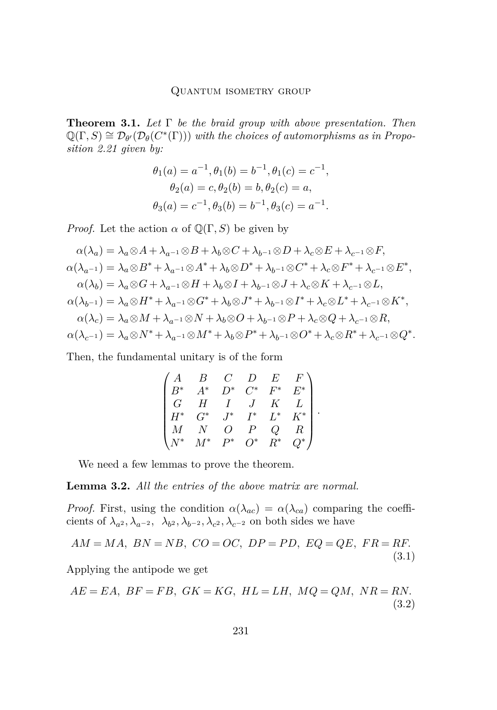<span id="page-13-2"></span>**Theorem 3.1.** *Let* Γ *be the braid group with above presentation. Then*  $\mathbb{Q}(\Gamma, S) \cong \mathcal{D}_{\theta}(\mathcal{D}_{\theta}(C^*(\Gamma)))$  with the choices of automorphisms as in Propo*sition [2.21](#page-11-0) given by:*

$$
\theta_1(a) = a^{-1}, \theta_1(b) = b^{-1}, \theta_1(c) = c^{-1},
$$
  
\n
$$
\theta_2(a) = c, \theta_2(b) = b, \theta_2(c) = a,
$$
  
\n
$$
\theta_3(a) = c^{-1}, \theta_3(b) = b^{-1}, \theta_3(c) = a^{-1}.
$$

*Proof.* Let the action  $\alpha$  of  $\mathbb{Q}(\Gamma, S)$  be given by

$$
\alpha(\lambda_a) = \lambda_a \otimes A + \lambda_{a^{-1}} \otimes B + \lambda_b \otimes C + \lambda_{b^{-1}} \otimes D + \lambda_c \otimes E + \lambda_{c^{-1}} \otimes F,
$$
  
\n
$$
\alpha(\lambda_{a^{-1}}) = \lambda_a \otimes B^* + \lambda_{a^{-1}} \otimes A^* + \lambda_b \otimes D^* + \lambda_{b^{-1}} \otimes C^* + \lambda_c \otimes F^* + \lambda_{c^{-1}} \otimes E^*,
$$
  
\n
$$
\alpha(\lambda_b) = \lambda_a \otimes G + \lambda_{a^{-1}} \otimes H + \lambda_b \otimes I + \lambda_{b^{-1}} \otimes J + \lambda_c \otimes K + \lambda_{c^{-1}} \otimes L,
$$
  
\n
$$
\alpha(\lambda_{b^{-1}}) = \lambda_a \otimes H^* + \lambda_{a^{-1}} \otimes G^* + \lambda_b \otimes J^* + \lambda_{b^{-1}} \otimes I^* + \lambda_c \otimes L^* + \lambda_{c^{-1}} \otimes K^*,
$$
  
\n
$$
\alpha(\lambda_c) = \lambda_a \otimes M + \lambda_{a^{-1}} \otimes N + \lambda_b \otimes O + \lambda_{b^{-1}} \otimes P + \lambda_c \otimes Q + \lambda_{c^{-1}} \otimes R,
$$
  
\n
$$
\alpha(\lambda_{c^{-1}}) = \lambda_a \otimes N^* + \lambda_{a^{-1}} \otimes M^* + \lambda_b \otimes P^* + \lambda_{b^{-1}} \otimes O^* + \lambda_c \otimes R^* + \lambda_{c^{-1}} \otimes Q^*.
$$

Then, the fundamental unitary is of the form

$$
\begin{pmatrix} A & B & C & D & E & F \\ B^* & A^* & D^* & C^* & F^* & E^* \\ G & H & I & J & K & L \\ H^* & G^* & J^* & I^* & L^* & K^* \\ M & N & O & P & Q & R \\ N^* & M^* & P^* & O^* & R^* & Q^* \end{pmatrix}.
$$

We need a few lemmas to prove the theorem.

<span id="page-13-3"></span>**Lemma 3.2.** *All the entries of the above matrix are normal.*

*Proof.* First, using the condition  $\alpha(\lambda_{ac}) = \alpha(\lambda_{ca})$  comparing the coefficients of  $\lambda_{a^2}, \lambda_{a^{-2}}, \lambda_{b^2}, \lambda_{b^{-2}}, \lambda_{c^2}, \lambda_{c^{-2}}$  on both sides we have

<span id="page-13-0"></span>
$$
AM = MA, BN = NB, CO = OC, DP = PD, EQ = QE, FR = RF.
$$
\n
$$
(3.1)
$$

Applying the antipode we get

<span id="page-13-1"></span>
$$
AE = EA, BF = FB, GK = KG, HL = LH, MQ = QM, NR = RN.
$$
\n
$$
(3.2)
$$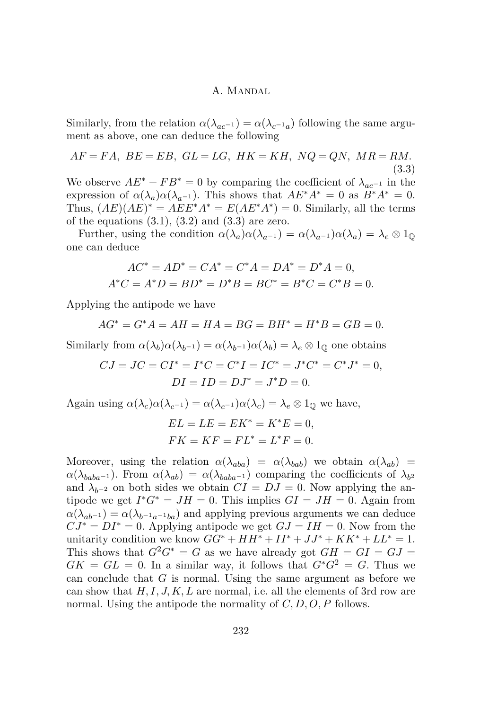Similarly, from the relation  $\alpha(\lambda_{ac^{-1}}) = \alpha(\lambda_{c^{-1}a})$  following the same argument as above, one can deduce the following

<span id="page-14-0"></span>
$$
AF = FA, BE = EB, GL = LG, HK = KH, NQ = QN, MR = RM.
$$
\n
$$
(3.3)
$$

We observe  $AE^* + FB^* = 0$  by comparing the coefficient of  $\lambda_{ac^{-1}}$  in the expression of  $\alpha(\lambda_a)\alpha(\lambda_{a-1})$ . This shows that  $AE^*A^* = 0$  as  $B^*A^* = 0$ . Thus,  $(AE)(AE)^* = AEE^*A^* = E(AE^*A^*) = 0$ . Similarly, all the terms of the equations  $(3.1)$ ,  $(3.2)$  and  $(3.3)$  are zero.

Further, using the condition  $\alpha(\lambda_a)\alpha(\lambda_{a^{-1}}) = \alpha(\lambda_{a^{-1}})\alpha(\lambda_a) = \lambda_e \otimes 1_{\mathbb{Q}}$ one can deduce

$$
AC^* = AD^* = CA^* = C^*A = DA^* = D^*A = 0,
$$
  

$$
A^*C = A^*D = BD^* = D^*B = BC^* = B^*C = C^*B = 0.
$$

Applying the antipode we have

$$
AG^* = G^*A = AH = HA = BG = BH^* = H^*B = GB = 0.
$$

Similarly from  $\alpha(\lambda_b)\alpha(\lambda_{b-1}) = \alpha(\lambda_{b-1})\alpha(\lambda_b) = \lambda_e \otimes 1_0$  one obtains

$$
CJ = JC = CI^* = I^*C = C^*I = IC^* = J^*C^* = C^*J^* = 0,
$$
  

$$
DI = ID = DJ^* = J^*D = 0.
$$

Again using  $\alpha(\lambda_c)\alpha(\lambda_{c^{-1}}) = \alpha(\lambda_{c^{-1}})\alpha(\lambda_c) = \lambda_e \otimes 1_0$  we have,

$$
EL = LE = EK^* = K^*E = 0,
$$
  

$$
FK = KF = FL^* = L^*F = 0.
$$

Moreover, using the relation  $\alpha(\lambda_{aba}) = \alpha(\lambda_{bab})$  we obtain  $\alpha(\lambda_{ab}) =$  $\alpha(\lambda_{baba-1})$ . From  $\alpha(\lambda_{ab}) = \alpha(\lambda_{baba-1})$  comparing the coefficients of  $\lambda_{b2}$ and  $\lambda_{b-2}$  on both sides we obtain  $CI = DJ = 0$ . Now applying the antipode we get  $I^*G^* = JH = 0$ . This implies  $GI = JH = 0$ . Again from  $\alpha(\lambda_{ab^{-1}}) = \alpha(\lambda_{b^{-1}a^{-1}ba})$  and applying previous arguments we can deduce  $C J^* = DI^* = 0$ . Applying antipode we get  $GJ = IH = 0$ . Now from the unitarity condition we know  $GG^* + HH^* + II^* + JJ^* + KK^* + LL^* = 1$ . This shows that  $G^2G^* = G$  as we have already got  $GH = GI = GJ$  $GK = GL = 0$ . In a similar way, it follows that  $G^*G^2 = G$ . Thus we can conclude that *G* is normal. Using the same argument as before we can show that *H, I, J, K, L* are normal, i.e. all the elements of 3rd row are normal. Using the antipode the normality of *C, D, O, P* follows.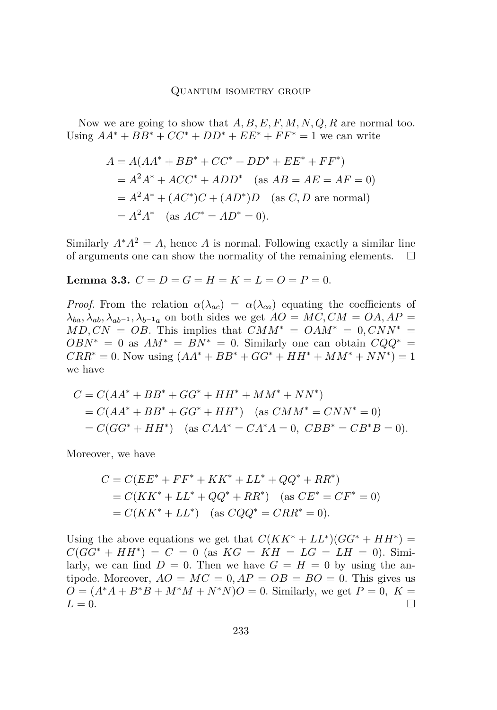Now we are going to show that *A, B, E, F, M, N, Q, R* are normal too. Using  $AA^* + BB^* + CC^* + DD^* + EE^* + FF^* = 1$  we can write

$$
A = A(AA^* + BB^* + CC^* + DD^* + EE^* + FF^*)
$$
  
=  $A^2A^* + ACC^* + ADD^*$  (as  $AB = AE = AF = 0$ )  
=  $A^2A^* + (AC^*)C + (AD^*)D$  (as *C*, *D* are normal)  
=  $A^2A^*$  (as  $AC^* = AD^* = 0$ ).

Similarly  $A^*A^2 = A$ , hence *A* is normal. Following exactly a similar line of arguments one can show the normality of the remaining elements.  $\Box$ 

<span id="page-15-0"></span>**Lemma 3.3.**  $C = D = G = H = K = L = O = P = 0$ .

*Proof.* From the relation  $\alpha(\lambda_{ac}) = \alpha(\lambda_{ca})$  equating the coefficients of  $\lambda_{ba}$ ,  $\lambda_{ab}$ ,  $\lambda_{ab}$ −1,  $\lambda_{b}$ −1*a* on both sides we get  $AO = MC, CM = OA, AP =$  $MD, CN = OB$ . This implies that  $CMM^* = OAM^* = 0, CNN^* =$  $OBN^* = 0$  as  $AM^* = BN^* = 0$ . Similarly one can obtain  $CQQ^* =$  $CRR^* = 0$ . Now using  $(AA^* + BB^* + GG^* + HH^* + MM^* + NN^*) = 1$ we have

$$
C = C(AA^* + BB^* + GG^* + HH^* + MM^* + NN^*)
$$
  
= C(AA^\* + BB^\* + GG^\* + HH^\*) (as CMM^\* = CNN^\* = 0)  
= C(GG^\* + HH^\*) (as CAA^\* = CA^\*A = 0, CBB^\* = CB^\*B = 0).

Moreover, we have

$$
C = C(EE^* + FF^* + KK^* + LL^* + QQ^* + RR^*)
$$
  
=  $C(KK^* + LL^* + QQ^* + RR^*)$  (as  $CE^* = CF^* = 0$ )  
=  $C(KK^* + LL^*)$  (as  $CQQ^* = CRR^* = 0$ ).

Using the above equations we get that  $C(KK^* + LL^*)(GG^* + HH^*)$  $C(GG^* + HH^*) = C = 0$  (as  $KG = KH = LG = LH = 0$ ). Similarly, we can find  $D = 0$ . Then we have  $G = H = 0$  by using the antipode. Moreover,  $AO = MC = 0$ ,  $AP = OB = BO = 0$ . This gives us  $O = (A^*A + B^*B + M^*M + N^*N)O = 0$ . Similarly, we get  $P = 0$ ,  $K =$  $L = 0.$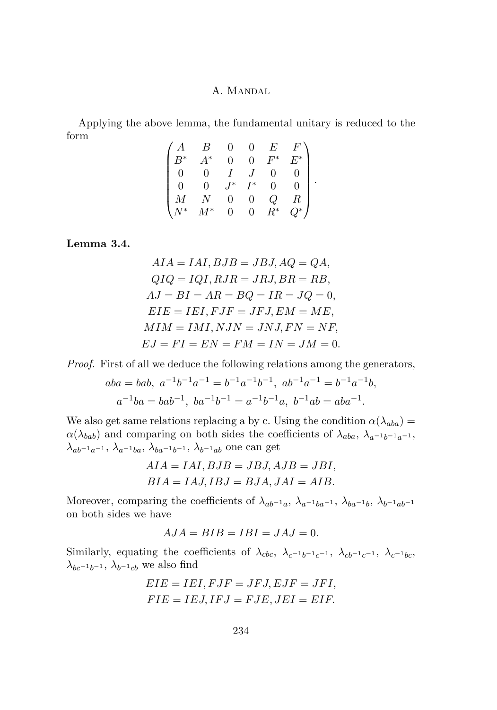Applying the above lemma, the fundamental unitary is reduced to the form

| ١*      | $\ast$ |   |    | ∗ |   |
|---------|--------|---|----|---|---|
|         |        |   |    |   |   |
|         |        | ∗ | '* |   | ٠ |
|         |        |   | ı  |   |   |
| $\cdot$ | '∗     |   | O  | ∗ |   |

<span id="page-16-0"></span>**Lemma 3.4.**

$$
AIA = IAI, BJB = JBJ, AQ = QA,
$$
  
\n
$$
QIQ = IQI, RJR = JRI, BR = RB,
$$
  
\n
$$
AJ = BI = AR = BQ = IR = JQ = 0,
$$
  
\n
$$
EIE = IEI, FJF = JFJ, EM = ME,
$$
  
\n
$$
MIM = IMI, NJN = JNJ, FN = NF,
$$
  
\n
$$
EJ = FI = EN = FM = IN = JM = 0.
$$

*Proof.* First of all we deduce the following relations among the generators,

$$
aba = bab, \ a^{-1}b^{-1}a^{-1} = b^{-1}a^{-1}b^{-1}, \ ab^{-1}a^{-1} = b^{-1}a^{-1}b,
$$
  

$$
a^{-1}ba = bab^{-1}, \ ba^{-1}b^{-1} = a^{-1}b^{-1}a, \ b^{-1}ab = aba^{-1}.
$$

We also get same relations replacing a by c. Using the condition  $\alpha(\lambda_{aba}) =$  $\alpha(\lambda_{bab})$  and comparing on both sides the coefficients of  $\lambda_{aba}$ ,  $\lambda_{a^{-1}b^{-1}a^{-1}}$ , *λ*<sub>ab</sub>−1*a*−1</sub>*, λ*<sub>*a*−1</sub>*ba, λ*<sub>*b*α−1</sub>*b*−1*, λ*<sub>*b*</sub>−1*ab* one can get

$$
AIA = IAI, BJB = JBJ, AJB = JBI,
$$
  

$$
BIA = IAJ, IBJ = BJA, JAI = AIB.
$$

Moreover, comparing the coefficients of  $\lambda_{ab^{-1}a}$ ,  $\lambda_{a^{-1}ba^{-1}}$ ,  $\lambda_{ba^{-1}b}$ ,  $\lambda_{b^{-1}ab^{-1}}$ on both sides we have

$$
AJA = BIB = IBI = JAJ = 0.
$$

Similarly, equating the coefficients of  $\lambda_{cbc}$ ,  $\lambda_{c^{-1}b^{-1}c^{-1}}$ ,  $\lambda_{cb^{-1}c^{-1}}$ ,  $\lambda_{c^{-1}bc}$  $\lambda_{bc^{-1}b^{-1}}$ ,  $\lambda_{b^{-1}cb}$  we also find

$$
EIE = IEI, FJF = JFJ, EJF = JFI,
$$
  

$$
FIE = IEJ, IFJ = FJE, JEI = EIF.
$$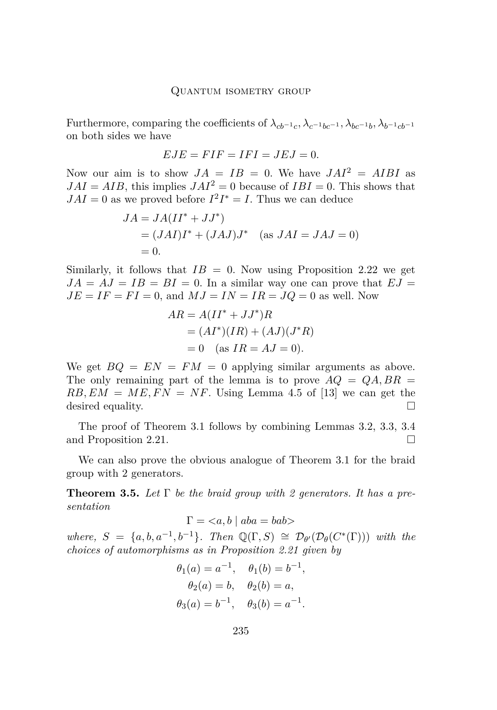Furthermore, comparing the coefficients of  $\lambda_{cb^{-1}c}, \lambda_{c^{-1}bc^{-1}}, \lambda_{bc^{-1}b}, \lambda_{b^{-1}cb^{-1}}$ on both sides we have

$$
EJE = FIF = IFI = JEJ = 0.
$$

Now our aim is to show  $JA = IB = 0$ . We have  $JAI^2 = AIBI$  as  $JAI = AIB$ , this implies  $JAI^2 = 0$  because of  $IBI = 0$ . This shows that  $JAI = 0$  as we proved before  $I^2I^* = I$ . Thus we can deduce

$$
JA = JA(II^* + JJ^*)
$$
  
= 
$$
(JAI)I^* + (JAJ)J^* \quad \text{(as } JAI = JAJ = 0)
$$
  
= 0.

Similarly, it follows that  $IB = 0$ . Now using Proposition [2.22](#page-12-1) we get  $JA = AJ = IB = BI = 0$ . In a similar way one can prove that  $EJ =$  $JE = IF = FI = 0$ , and  $MJ = IN = IR = JQ = 0$  as well. Now

$$
AR = A(II^* + JJ^*)R
$$
  
=  $(AI^*)(IR) + (AJ)(J^*R)$   
= 0 (as IR = AJ = 0).

We get  $BQ = EN = FM = 0$  applying similar arguments as above. The only remaining part of the lemma is to prove  $AQ = QA, BR =$  $RB, EM = ME, FN = NF$ . Using Lemma 4.5 of [\[13\]](#page-28-0) we can get the desired equality.

The proof of Theorem [3.1](#page-13-2) follows by combining Lemmas [3.2,](#page-13-3) [3.3,](#page-15-0) [3.4](#page-16-0) and Proposition [2.21.](#page-11-0)

We can also prove the obvious analogue of Theorem [3.1](#page-13-2) for the braid group with 2 generators.

**Theorem 3.5.** *Let* Γ *be the braid group with 2 generators. It has a presentation*

$$
\Gamma = \langle a, b \mid aba = bab \rangle
$$

*where,*  $S = \{a, b, a^{-1}, b^{-1}\}$ *. Then*  $\mathbb{Q}(\Gamma, S) \cong \mathcal{D}_{\theta}(\mathcal{D}_{\theta}(C^*(\Gamma)))$  *with the choices of automorphisms as in Proposition [2.21](#page-11-0) given by*

$$
\theta_1(a) = a^{-1}, \quad \theta_1(b) = b^{-1},
$$
  
\n $\theta_2(a) = b, \quad \theta_2(b) = a,$   
\n $\theta_3(a) = b^{-1}, \quad \theta_3(b) = a^{-1}.$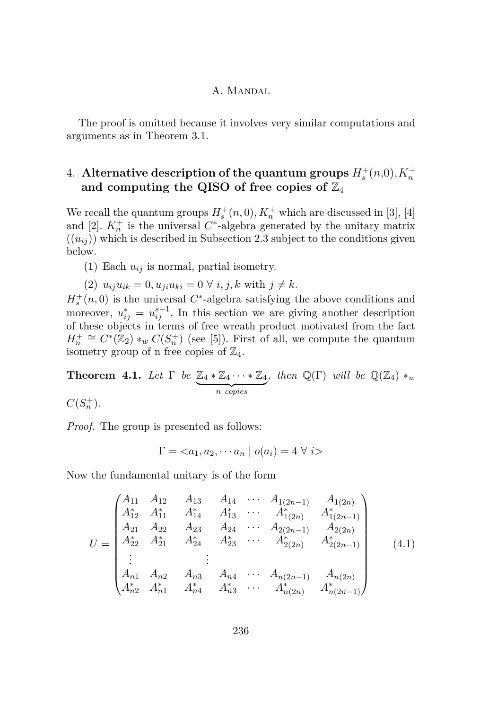The proof is omitted because it involves very similar computations and arguments as in Theorem [3.1.](#page-13-2)

# <span id="page-18-0"></span> $4.$  Alternative description of the quantum groups  $H_s^+(n,0), K_n^+$ and computing the QISO of free copies of  $\mathbb{Z}_4$

We recall the quantum groups  $H_s^+(n,0)$ ,  $K_n^+$  which are discussed in [\[3\]](#page-27-0), [\[4\]](#page-27-1) and [\[2\]](#page-27-3).  $K_n^+$  is the universal  $C^*$ -algebra generated by the unitary matrix  $((u_{ij}))$  which is described in Subsection [2.3](#page-6-3) subject to the conditions given below.

(1) Each *uij* is normal, partial isometry.

 $(2)$   $u_{ij}u_{ik} = 0, u_{ji}u_{ki} = 0 \ \forall \ i, j, k \text{ with } j \neq k.$ 

 $H_s^+(n,0)$  is the universal  $C^*$ -algebra satisfying the above conditions and moreover,  $u_{ij}^* = u_{ij}^{s-1}$ . In this section we are giving another description of these objects in terms of free wreath product motivated from the fact  $H_n^+ \cong C^*(\mathbb{Z}_2) *_{w} C(S_n^+)$  (see [\[5\]](#page-28-12)). First of all, we compute the quantum isometry group of n free copies of  $\mathbb{Z}_4$ .

<span id="page-18-2"></span>**Theorem 4.1.** *Let*  $\Gamma$  *be*  $\mathbb{Z}_4 * \mathbb{Z}_4 \cdots * \mathbb{Z}_4$ | {z } *n copies , then*  $\mathbb{Q}(\Gamma)$  *will be*  $\mathbb{Q}(\mathbb{Z}_4) *_{w}$ 

 $C(S_n^+)$ .

*Proof.* The group is presented as follows:

$$
\Gamma = \langle a_1, a_2, \cdots a_n \mid o(a_i) = 4 \ \forall \ i \rangle
$$

Now the fundamental unitary is of the form

<span id="page-18-1"></span>
$$
U = \begin{pmatrix} A_{11} & A_{12} & A_{13} & A_{14} & \cdots & A_{1(2n-1)} & A_{1(2n)} \\ A_{12}^* & A_{11}^* & A_{14}^* & A_{13}^* & \cdots & A_{1(2n)}^* & A_{1(2n-1)}^* \\ A_{21} & A_{22} & A_{23} & A_{24} & \cdots & A_{2(2n-1)} & A_{2(2n)} \\ A_{22}^* & A_{21}^* & A_{24}^* & A_{23}^* & \cdots & A_{2(2n)}^* & A_{2(2n-1)}^* \\ \vdots & \vdots & \vdots & \ddots & \vdots & \vdots & \vdots \\ A_{n1} & A_{n2} & A_{n3} & A_{n4} & \cdots & A_{n(2n-1)} & A_{n(2n)} \\ A_{n2}^* & A_{n1}^* & A_{n4}^* & A_{n3}^* & \cdots & A_{n(2n)}^* & A_{n(2n-1)}^* \end{pmatrix}
$$
(4.1)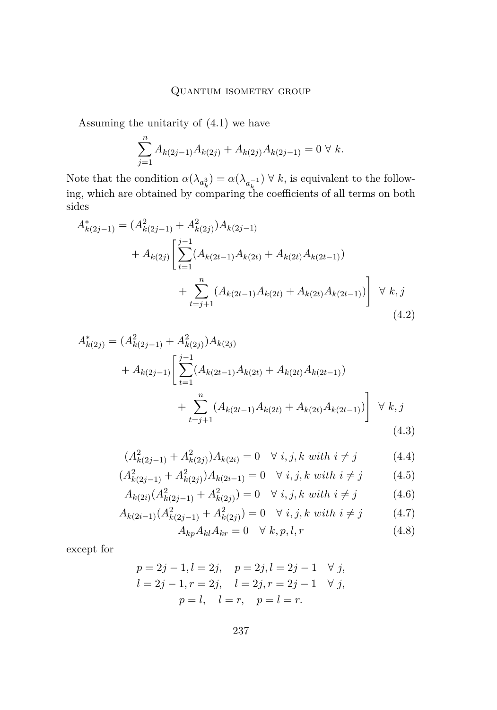Assuming the unitarity of [\(4.1\)](#page-18-1) we have

<span id="page-19-0"></span>
$$
\sum_{j=1}^{n} A_{k(2j-1)} A_{k(2j)} + A_{k(2j)} A_{k(2j-1)} = 0 \ \forall \ k.
$$

Note that the condition  $\alpha(\lambda_{a_k^3}) = \alpha(\lambda_{a_k^{-1}}) \forall k$ , is equivalent to the following, which are obtained by comparing the coefficients of all terms on both sides

$$
A_{k(2j-1)}^{*} = (A_{k(2j-1)}^{2} + A_{k(2j)}^{2})A_{k(2j-1)} + A_{k(2j)}\left[\sum_{t=1}^{j-1} (A_{k(2t-1)}A_{k(2t)} + A_{k(2t)}A_{k(2t-1)}) + \sum_{t=j+1}^{n} (A_{k(2t-1)}A_{k(2t)} + A_{k(2t)}A_{k(2t-1)})\right] \forall k, j
$$
\n(4.2)

$$
A_{k(2j)}^{*} = (A_{k(2j-1)}^{2} + A_{k(2j)}^{2})A_{k(2j)}
$$
  
+ 
$$
A_{k(2j-1)} \left[ \sum_{t=1}^{j-1} (A_{k(2t-1)}A_{k(2t)} + A_{k(2t)}A_{k(2t-1)}) + \sum_{t=j+1}^{n} (A_{k(2t-1)}A_{k(2t)} + A_{k(2t)}A_{k(2t-1)}) \right] \forall k, j
$$
  
(4.3)

$$
(A_{k(2j-1)}^2 + A_{k(2j)}^2)A_{k(2i)} = 0 \quad \forall \ i, j, k \ with \ i \neq j \tag{4.4}
$$

$$
(A_{k(2j-1)}^2 + A_{k(2j)}^2)A_{k(2i-1)} = 0 \quad \forall \ i, j, k \ with \ i \neq j \tag{4.5}
$$

$$
A_{k(2i)}(A_{k(2j-1)}^2 + A_{k(2j)}^2) = 0 \quad \forall \ i, j, k \ with \ i \neq j \tag{4.6}
$$

$$
A_{k(2i-1)}(A_{k(2j-1)}^2 + A_{k(2j)}^2) = 0 \quad \forall \ i, j, k \ with \ i \neq j \tag{4.7}
$$

<span id="page-19-3"></span><span id="page-19-2"></span><span id="page-19-1"></span>
$$
A_{kp}A_{kl}A_{kr} = 0 \quad \forall \ k, p, l, r \tag{4.8}
$$

except for

$$
p = 2j - 1, l = 2j, \quad p = 2j, l = 2j - 1 \quad \forall j,
$$
  
\n
$$
l = 2j - 1, r = 2j, \quad l = 2j, r = 2j - 1 \quad \forall j,
$$
  
\n
$$
p = l, \quad l = r, \quad p = l = r.
$$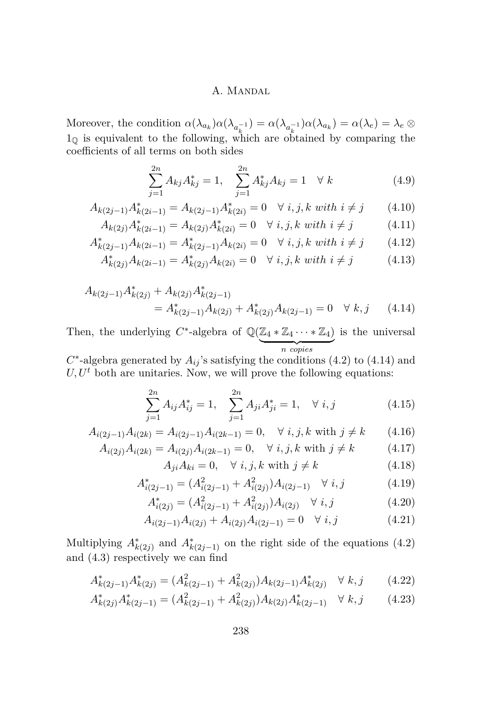Moreover, the condition  $\alpha(\lambda_{a_k})\alpha(\lambda_{a_k^{-1}}) = \alpha(\lambda_{a_k^{-1}})\alpha(\lambda_{a_k}) = \alpha(\lambda_e) = \lambda_e \otimes$  $1_{\mathbb{Q}}$  is equivalent to the following, which are obtained by comparing the coefficients of all terms on both sides

<span id="page-20-13"></span><span id="page-20-10"></span><span id="page-20-2"></span><span id="page-20-1"></span>
$$
\sum_{j=1}^{2n} A_{kj} A_{kj}^* = 1, \quad \sum_{j=1}^{2n} A_{kj}^* A_{kj} = 1 \quad \forall \ k \tag{4.9}
$$

$$
A_{k(2j-1)}A_{k(2i-1)}^* = A_{k(2j-1)}A_{k(2i)}^* = 0 \quad \forall \ i, j, k \ with \ i \neq j \tag{4.10}
$$

$$
A_{k(2j)}A_{k(2i-1)}^* = A_{k(2j)}A_{k(2i)}^* = 0 \quad \forall \ i, j, k \ with \ i \neq j \tag{4.11}
$$

$$
A_{k(2j-1)}^* A_{k(2i-1)} = A_{k(2j-1)}^* A_{k(2i)} = 0 \quad \forall \ i, j, k \ with \ i \neq j \tag{4.12}
$$

$$
A_{k(2j)}^* A_{k(2i-1)} = A_{k(2j)}^* A_{k(2i)} = 0 \quad \forall \ i, j, k \ with \ i \neq j \tag{4.13}
$$

$$
A_{k(2j-1)}A_{k(2j)}^* + A_{k(2j)}A_{k(2j-1)}^*
$$
  
=  $A_{k(2j-1)}^*A_{k(2j)} + A_{k(2j)}^*A_{k(2j-1)} = 0 \quad \forall \ k, j$  (4.14)

Then, the underlying  $C^*$ -algebra of  $\mathbb{Q}(\mathbb{Z}_4 * \mathbb{Z}_4 \cdots * \mathbb{Z}_4)$ | {z } *n copies* is the universal

 $C^*$ -algebra generated by  $A_{ij}$ 's satisfying the conditions [\(4.2\)](#page-19-0) to [\(4.14\)](#page-20-0) and  $U, U<sup>t</sup>$  both are unitaries. Now, we will prove the following equations:

<span id="page-20-0"></span>
$$
\sum_{j=1}^{2n} A_{ij} A_{ij}^* = 1, \quad \sum_{j=1}^{2n} A_{ji} A_{ji}^* = 1, \quad \forall \ i, j \tag{4.15}
$$

$$
A_{i(2j-1)}A_{i(2k)} = A_{i(2j-1)}A_{i(2k-1)} = 0, \quad \forall \ i, j, k \text{ with } j \neq k \tag{4.16}
$$

$$
A_{i(2j)}A_{i(2k)} = A_{i(2j)}A_{i(2k-1)} = 0, \quad \forall \ i, j, k \text{ with } j \neq k \tag{4.17}
$$

<span id="page-20-12"></span><span id="page-20-11"></span><span id="page-20-9"></span><span id="page-20-8"></span><span id="page-20-7"></span><span id="page-20-6"></span><span id="page-20-5"></span><span id="page-20-3"></span>
$$
A_{ji}A_{ki} = 0, \quad \forall i, j, k \text{ with } j \neq k \tag{4.18}
$$

$$
A_{i(2j-1)}^* = (A_{i(2j-1)}^2 + A_{i(2j)}^2) A_{i(2j-1)} \quad \forall \ i, j \tag{4.19}
$$

$$
A_{i(2j)}^* = (A_{i(2j-1)}^2 + A_{i(2j)}^2)A_{i(2j)} \quad \forall \ i, j \tag{4.20}
$$

<span id="page-20-4"></span>
$$
A_{i(2j-1)}A_{i(2j)} + A_{i(2j)}A_{i(2j-1)} = 0 \quad \forall \ i, j \tag{4.21}
$$

Multiplying  $A^*_{k(2j)}$  and  $A^*_{k(2j-1)}$  on the right side of the equations [\(4.2\)](#page-19-0) and [\(4.3\)](#page-19-1) respectively we can find

$$
A_{k(2j-1)}^* A_{k(2j)}^* = (A_{k(2j-1)}^2 + A_{k(2j)}^2) A_{k(2j-1)} A_{k(2j)}^* \quad \forall \ k, j \tag{4.22}
$$

$$
A_{k(2j)}^* A_{k(2j-1)}^* = (A_{k(2j-1)}^2 + A_{k(2j)}^2) A_{k(2j)} A_{k(2j-1)}^* \quad \forall \ k, j \tag{4.23}
$$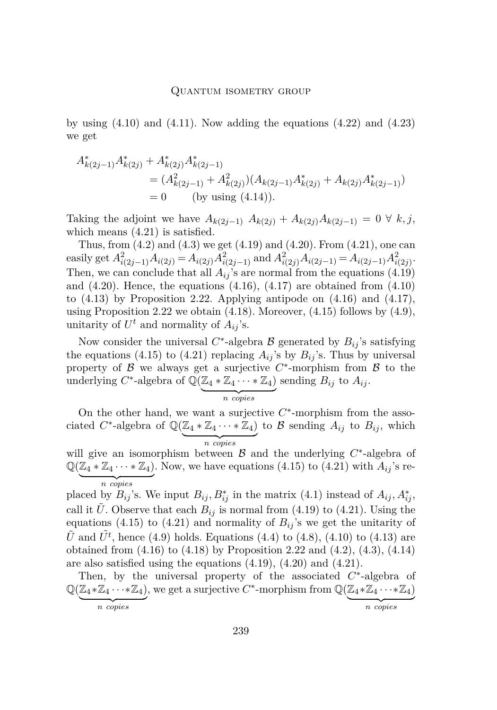by using  $(4.10)$  and  $(4.11)$ . Now adding the equations  $(4.22)$  and  $(4.23)$ we get

$$
A_{k(2j-1)}^* A_{k(2j)}^* + A_{k(2j)}^* A_{k(2j-1)}^*
$$
  
=  $(A_{k(2j-1)}^2 + A_{k(2j)}^2)(A_{k(2j-1)}A_{k(2j)}^* + A_{k(2j)}A_{k(2j-1)}^*)$   
= 0 (by using (4.14)).

Taking the adjoint we have  $A_{k(2j-1)}$   $A_{k(2j)}$  +  $A_{k(2j)}$  $A_{k(2j-1)}$  = 0 ∀  $k, j$ , which means  $(4.21)$  is satisfied.

Thus, from  $(4.2)$  and  $(4.3)$  we get  $(4.19)$  and  $(4.20)$ . From  $(4.21)$ , one can easily get  $A_{i(2j-1)}^2 A_{i(2j)} = A_{i(2j)} A_{i(2j-1)}^2$  and  $A_{i(2j)}^2 A_{i(2j-1)} = A_{i(2j-1)} A_{i(2j)}^2$ . Then, we can conclude that all  $A_{ij}$ 's are normal from the equations [\(4.19\)](#page-20-6) and  $(4.20)$ . Hence, the equations  $(4.16)$ ,  $(4.17)$  are obtained from  $(4.10)$ to  $(4.13)$  by Proposition [2.22.](#page-12-1) Applying antipode on  $(4.16)$  and  $(4.17)$ , using Proposition [2.22](#page-12-1) we obtain  $(4.18)$ . Moreover,  $(4.15)$  follows by  $(4.9)$ , unitarity of  $U^t$  and normality of  $A_{ij}$ 's.

Now consider the universal  $C^*$ -algebra  $\mathcal B$  generated by  $B_{ij}$ 's satisfying the equations [\(4.15\)](#page-20-12) to [\(4.21\)](#page-20-5) replacing  $A_{ij}$ 's by  $B_{ij}$ 's. Thus by universal property of  $\beta$  we always get a surjective  $C^*$ -morphism from  $\beta$  to the underlying  $C^*$ -algebra of  $\mathbb{Q}(\mathbb{Z}_4 * \mathbb{Z}_4 \cdots * \mathbb{Z}_4)$  sending  $B_{ij}$  to  $A_{ij}$ .

$$
n \overbrace{copies}
$$

On the other hand, we want a surjective  $C^*$ -morphism from the associated  $C^*$ -algebra of  $\mathbb{Q}(\mathbb{Z}_4 * \mathbb{Z}_4 \cdots * \mathbb{Z}_4)$ | {z } *n copies* to  $\mathcal{B}$  sending  $A_{ij}$  to  $B_{ij}$ , which

will give an isomorphism between  $\mathcal B$  and the underlying  $C^*$ -algebra of  $\mathbb{Q}(\mathbb{Z}_4 * \mathbb{Z}_4 \cdots * \mathbb{Z}_4)$ . Now, we have equations [\(4.15\)](#page-20-12) to [\(4.21\)](#page-20-5) with  $A_{ij}$ 's re-| {z } *n copies*

placed by  $B_{ij}$ 's. We input  $B_{ij}$ ,  $B_{ij}^*$  in the matrix [\(4.1\)](#page-18-1) instead of  $A_{ij}$ ,  $A_{ij}^*$ , call it *U*. Observe that each  $B_{ij}$  is normal from [\(4.19\)](#page-20-6) to [\(4.21\)](#page-20-5). Using the equations [\(4.15\)](#page-20-12) to [\(4.21\)](#page-20-5) and normality of  $B_{ij}$ 's we get the unitarity of  $\tilde{U}$  and  $\tilde{U}^t$ , hence [\(4.9\)](#page-20-13) holds. Equations [\(4.4\)](#page-19-2) to [\(4.8\)](#page-19-3), [\(4.10\)](#page-20-1) to [\(4.13\)](#page-20-10) are obtained from [\(4.16\)](#page-20-8) to [\(4.18\)](#page-20-11) by Proposition [2.22](#page-12-1) and [\(4.2\)](#page-19-0), [\(4.3\)](#page-19-1), [\(4.14\)](#page-20-0) are also satisfied using the equations [\(4.19\)](#page-20-6), [\(4.20\)](#page-20-7) and [\(4.21\)](#page-20-5).

Then, by the universal property of the associated  $C^*$ -algebra of  $\mathbb{Q}(\mathbb{Z}_4 * \mathbb{Z}_4 \cdots * \mathbb{Z}_4)$ , we get a surjective  $C^*$ -morphism from  $\mathbb{Q}(\mathbb{Z}_4 * \mathbb{Z}_4 \cdots * \mathbb{Z}_4)$ | {z } *n copies* | {z } *n copies*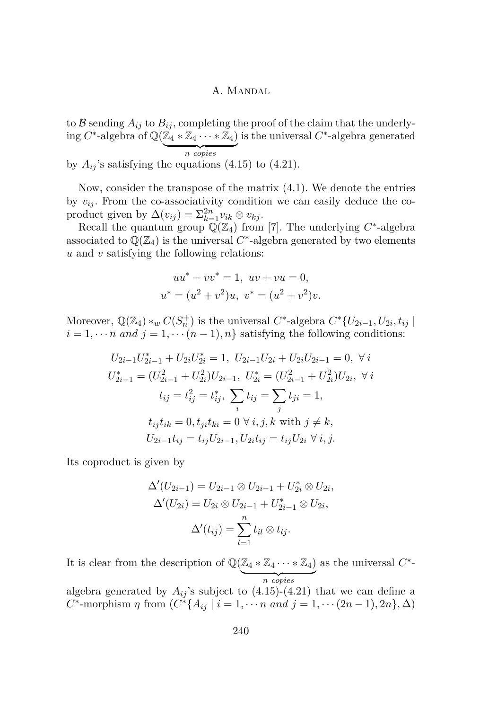to B sending  $A_{ij}$  to  $B_{ij}$ , completing the proof of the claim that the underly- $\operatorname{ing} C^*$ -algebra of  $\mathbb{Q}(\mathbb{Z}_4 * \mathbb{Z}_4 \cdots * \mathbb{Z}_4)$ is the universal *C* ∗ -algebra generated

| {z } *n copies* by  $A_{ij}$ 's satisfying the equations [\(4.15\)](#page-20-12) to [\(4.21\)](#page-20-5).

Now, consider the transpose of the matrix [\(4.1\)](#page-18-1). We denote the entries by  $v_{ij}$ . From the co-associativity condition we can easily deduce the coproduct given by  $\Delta(v_{ij}) = \sum_{k=1}^{2n} v_{ik} \otimes v_{kj}$ .

Recall the quantum group  $\mathbb{Q}(\mathbb{Z}_4)$  from [\[7\]](#page-28-4). The underlying  $C^*$ -algebra associated to  $\mathbb{Q}(\mathbb{Z}_4)$  is the universal  $C^*$ -algebra generated by two elements *u* and *v* satisfying the following relations:

$$
uu^* + vv^* = 1
$$
,  $uv + vu = 0$ ,  
 $u^* = (u^2 + v^2)u$ ,  $v^* = (u^2 + v^2)v$ .

Moreover,  $\mathbb{Q}(\mathbb{Z}_4) *_{w} C(S_n^+)$  is the universal  $C^*$ -algebra  $C^*\{U_{2i-1}, U_{2i}, t_{ij} \}$  $i = 1, \dots n$  *and*  $j = 1, \dots (n - 1), n$  satisfying the following conditions:

$$
U_{2i-1}U_{2i-1}^* + U_{2i}U_{2i}^* = 1, U_{2i-1}U_{2i} + U_{2i}U_{2i-1} = 0, \forall i
$$
  
\n
$$
U_{2i-1}^* = (U_{2i-1}^2 + U_{2i}^2)U_{2i-1}, U_{2i}^* = (U_{2i-1}^2 + U_{2i}^2)U_{2i}, \forall i
$$
  
\n
$$
t_{ij} = t_{ij}^2 = t_{ij}^*, \sum_i t_{ij} = \sum_j t_{ji} = 1,
$$
  
\n
$$
t_{ij}t_{ik} = 0, t_{ji}t_{ki} = 0 \forall i, j, k \text{ with } j \neq k,
$$
  
\n
$$
U_{2i-1}t_{ij} = t_{ij}U_{2i-1}, U_{2i}t_{ij} = t_{ij}U_{2i} \forall i, j.
$$

Its coproduct is given by

$$
\Delta'(U_{2i-1}) = U_{2i-1} \otimes U_{2i-1} + U_{2i}^* \otimes U_{2i},
$$
  
\n
$$
\Delta'(U_{2i}) = U_{2i} \otimes U_{2i-1} + U_{2i-1}^* \otimes U_{2i},
$$
  
\n
$$
\Delta'(t_{ij}) = \sum_{l=1}^n t_{il} \otimes t_{lj}.
$$

It is clear from the description of  $\mathbb{Q}(\mathbb{Z}_4 * \mathbb{Z}_4 \cdots * \mathbb{Z}_4)$ | {z } *n copies* as the universal *C* ∗ -

algebra generated by  $A_{ij}$ 's subject to  $(4.15)-(4.21)$  $(4.15)-(4.21)$  $(4.15)-(4.21)$  that we can define a *C*<sup>\*</sup>-morphism *η* from  $(C^*{A_{ij} | i = 1, \cdots n \text{ and } j = 1, \cdots (2n - 1), 2n},$  Δ)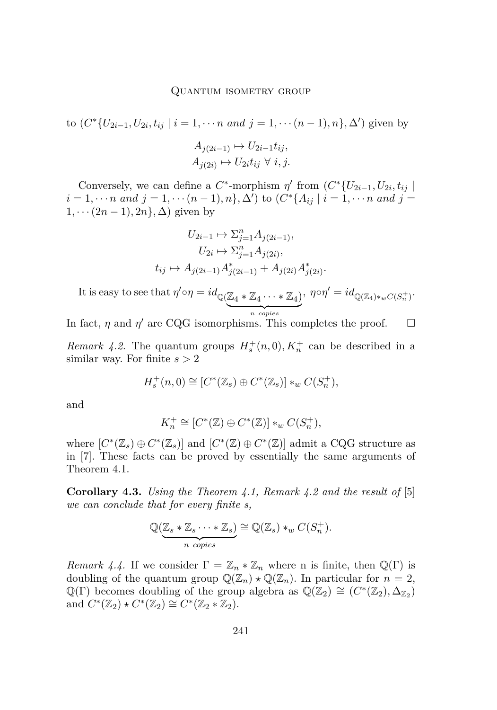to  $(C^*\{U_{2i-1}, U_{2i}, t_{ij} \mid i = 1, \cdots n \text{ and } j = 1, \cdots (n-1), n\}, \Delta')$  given by  $A_{i(2i-1)} \mapsto U_{2i-1}t_{ii}$ 

$$
A_{j(2i)} \mapsto U_{2i}t_{ij} \ \forall \ i, j.
$$

Conversely, we can define a  $C^*$ -morphism  $\eta'$  from  $(C^*\{U_{2i-1}, U_{2i}, t_{ij}\})$  $i = 1, \dots n$  and  $j = 1, \dots (n - 1), n\}, \Delta'$  to  $(C^*\{A_{ij} \mid i = 1, \dots n$  and  $j = 1, \dots n$  $1, \cdots (2n-1), 2n\}, \Delta$  given by

$$
U_{2i-1} \mapsto \sum_{j=1}^{n} A_{j(2i-1)},
$$
  
\n
$$
U_{2i} \mapsto \sum_{j=1}^{n} A_{j(2i)},
$$
  
\n
$$
t_{ij} \mapsto A_{j(2i-1)} A_{j(2i-1)}^* + A_{j(2i)} A_{j(2i)}^*.
$$

It is easy to see that  $\eta' \circ \eta = id_{\mathbb{Q}(\mathbb{Z}_4 * \mathbb{Z}_4 \cdots * \mathbb{Z}_4)}$  $\overline{n}$  copies *n copies*  $, \eta \circ \eta' = id_{\mathbb{Q}(\mathbb{Z}_4) *_{w} C(S_n^+)}$ 

In fact,  $\eta$  and  $\eta'$  are CQG isomorphisms. This completes the proof.  $\Box$ 

<span id="page-23-0"></span>*Remark 4.2.* The quantum groups  $H_s^+(n,0)$ ,  $K_n^+$  can be described in a similar way. For finite *s >* 2

$$
H_s^+(n,0) \cong [C^*(\mathbb{Z}_s) \oplus C^*(\mathbb{Z}_s)] *_{w} C(S_n^+),
$$

and

$$
K_n^+ \cong [C^*(\mathbb{Z}) \oplus C^*(\mathbb{Z})] *_{w} C(S_n^+),
$$

where  $[C^*(\mathbb{Z}_s) \oplus C^*(\mathbb{Z}_s)]$  and  $[C^*(\mathbb{Z}) \oplus C^*(\mathbb{Z})]$  admit a CQG structure as in [\[7\]](#page-28-4). These facts can be proved by essentially the same arguments of Theorem [4.1.](#page-18-2)

**Corollary 4.3.** *Using the Theorem [4.1,](#page-18-2) Remark [4.2](#page-23-0) and the result of* [\[5\]](#page-28-12) *we can conclude that for every finite s,*

$$
\mathbb{Q}(\underbrace{\mathbb{Z}_s * \mathbb{Z}_s \cdots * \mathbb{Z}_s}_{n \text{ copies}}) \cong \mathbb{Q}(\mathbb{Z}_s) *_{w} C(S_n^+).
$$

*Remark 4.4.* If we consider  $\Gamma = \mathbb{Z}_n * \mathbb{Z}_n$  where n is finite, then  $\mathbb{Q}(\Gamma)$  is doubling of the quantum group  $\mathbb{Q}(\mathbb{Z}_n) \star \mathbb{Q}(\mathbb{Z}_n)$ . In particular for  $n = 2$ ,  $\mathbb{Q}(\Gamma)$  becomes doubling of the group algebra as  $\mathbb{Q}(\mathbb{Z}_2) \cong (C^*(\mathbb{Z}_2), \Delta_{\mathbb{Z}_2})$ and  $C^*(\mathbb{Z}_2) \star C^*(\mathbb{Z}_2) \cong C^*(\mathbb{Z}_2 * \mathbb{Z}_2).$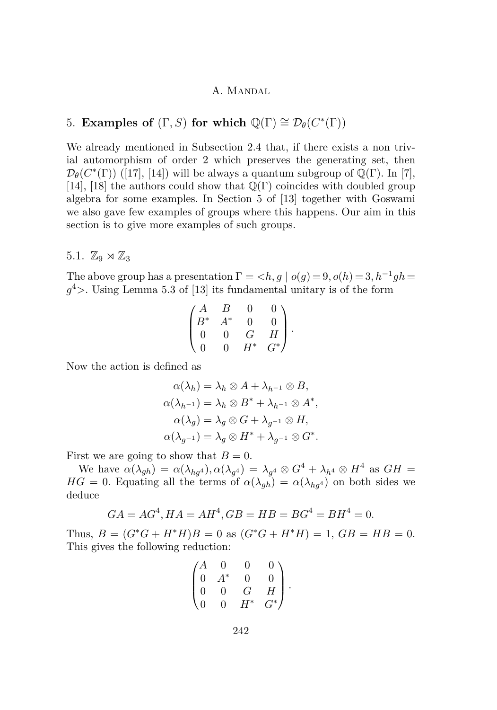# 5. **Examples of**  $(\Gamma, S)$  for which  $\mathbb{Q}(\Gamma) \cong \mathcal{D}_{\theta}(C^*(\Gamma))$

We already mentioned in Subsection [2.4](#page-10-1) that, if there exists a non trivial automorphism of order 2 which preserves the generating set, then  $\mathcal{D}_{\theta}(C^*(\Gamma))$  ([\[17\]](#page-28-10), [\[14\]](#page-28-5)) will be always a quantum subgroup of  $\mathbb{Q}(\Gamma)$ . In [\[7\]](#page-28-4), [\[14\]](#page-28-5), [\[18\]](#page-29-1) the authors could show that  $\mathbb{Q}(\Gamma)$  coincides with doubled group algebra for some examples. In Section 5 of [\[13\]](#page-28-0) together with Goswami we also gave few examples of groups where this happens. Our aim in this section is to give more examples of such groups.

# 5.1.  $\mathbb{Z}_9 \rtimes \mathbb{Z}_3$

The above group has a presentation  $\Gamma = \langle h, g \mid o(g) = 9, o(h) = 3, h^{-1}gh =$ *g* <sup>4</sup>*>*. Using Lemma 5*.*3 of [\[13\]](#page-28-0) its fundamental unitary is of the form

$$
\begin{pmatrix} A & B & 0 & 0 \\ B^* & A^* & 0 & 0 \\ 0 & 0 & G & H \\ 0 & 0 & H^* & G^* \end{pmatrix}.
$$

Now the action is defined as

$$
\alpha(\lambda_h) = \lambda_h \otimes A + \lambda_{h^{-1}} \otimes B,
$$
  
\n
$$
\alpha(\lambda_{h^{-1}}) = \lambda_h \otimes B^* + \lambda_{h^{-1}} \otimes A^*,
$$
  
\n
$$
\alpha(\lambda_g) = \lambda_g \otimes G + \lambda_{g^{-1}} \otimes H,
$$
  
\n
$$
\alpha(\lambda_{g^{-1}}) = \lambda_g \otimes H^* + \lambda_{g^{-1}} \otimes G^*.
$$

First we are going to show that  $B=0$ .

We have  $\alpha(\lambda_{gh}) = \alpha(\lambda_{hg^4}), \alpha(\lambda_{g^4}) = \lambda_{g^4} \otimes G^4 + \lambda_{h^4} \otimes H^4$  as  $GH =$ *HG* = 0. Equating all the terms of  $\alpha(\lambda_{gh}) = \alpha(\lambda_{hq})$  on both sides we deduce

$$
GA = AG^4, HA = AH^4, GB = HB = BG^4 = BH^4 = 0.
$$

Thus,  $B = (G^*G + H^*H)B = 0$  as  $(G^*G + H^*H) = 1$ ,  $GB = HB = 0$ . This gives the following reduction:

$$
\begin{pmatrix} A & 0 & 0 & 0 \\ 0 & A^* & 0 & 0 \\ 0 & 0 & G & H \\ 0 & 0 & H^* & G^* \end{pmatrix}.
$$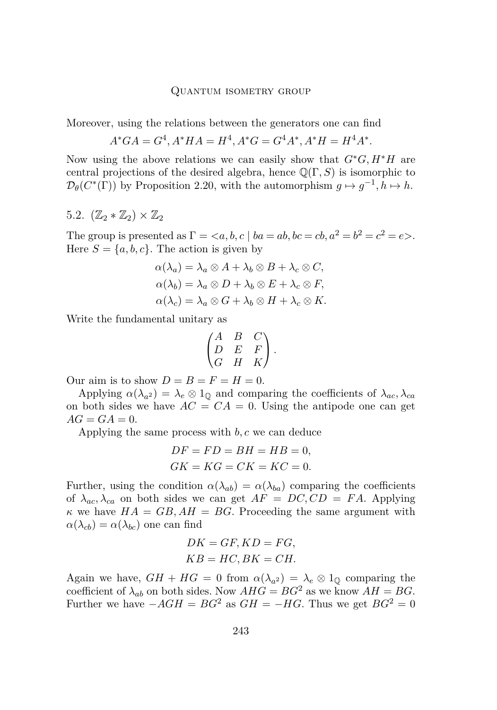#### Quantum isometry group

Moreover, using the relations between the generators one can find

$$
A^*G A = G^4, A^*H A = H^4, A^*G = G^4 A^*, A^*H = H^4 A^*.
$$

Now using the above relations we can easily show that *G*∗*G, H*∗*H* are central projections of the desired algebra, hence Q(Γ*, S*) is isomorphic to  $\mathcal{D}_{\theta}(C^*(\Gamma))$  by Proposition [2.20,](#page-10-0) with the automorphism  $g \mapsto g^{-1}, h \mapsto h$ .

5.2.  $(\mathbb{Z}_2 * \mathbb{Z}_2) \times \mathbb{Z}_2$ 

The group is presented as  $\Gamma = \langle a, b, c \mid ba = ab, bc = cb, a^2 = b^2 = c^2 = e \rangle$ . Here  $S = \{a, b, c\}$ . The action is given by

$$
\alpha(\lambda_a) = \lambda_a \otimes A + \lambda_b \otimes B + \lambda_c \otimes C,
$$
  
\n
$$
\alpha(\lambda_b) = \lambda_a \otimes D + \lambda_b \otimes E + \lambda_c \otimes F,
$$
  
\n
$$
\alpha(\lambda_c) = \lambda_a \otimes G + \lambda_b \otimes H + \lambda_c \otimes K.
$$

Write the fundamental unitary as

$$
\begin{pmatrix} A & B & C \\ D & E & F \\ G & H & K \end{pmatrix}.
$$

Our aim is to show  $D = B = F = H = 0$ .

Applying  $\alpha(\lambda_{a^2}) = \lambda_e \otimes 1_{\mathbb{Q}}$  and comparing the coefficients of  $\lambda_{ac}, \lambda_{ca}$ on both sides we have  $AC = CA = 0$ . Using the antipode one can get  $AG = GA = 0.$ 

Applying the same process with *b, c* we can deduce

$$
DF = FD = BH = HB = 0,
$$
  

$$
GK = KG = CK = KC = 0.
$$

Further, using the condition  $\alpha(\lambda_{ab}) = \alpha(\lambda_{ba})$  comparing the coefficients of  $\lambda_{ac}, \lambda_{ca}$  on both sides we can get  $AF = DC, CD = FA$ . Applying  $\kappa$  we have  $HA = GB, AH = BG$ . Proceeding the same argument with  $\alpha(\lambda_{cb}) = \alpha(\lambda_{bc})$  one can find

$$
DK = GF, KD = FG,
$$
  

$$
KB = HC, BK = CH.
$$

Again we have,  $GH + HG = 0$  from  $\alpha(\lambda_{a^2}) = \lambda_e \otimes 1_{\mathbb{Q}}$  comparing the coefficient of  $\lambda_{ab}$  on both sides. Now  $AHG = BG^2$  as we know  $AH = BG$ . Further we have  $-AGH = BG^2$  as  $GH = -HG$ . Thus we get  $BG^2 = 0$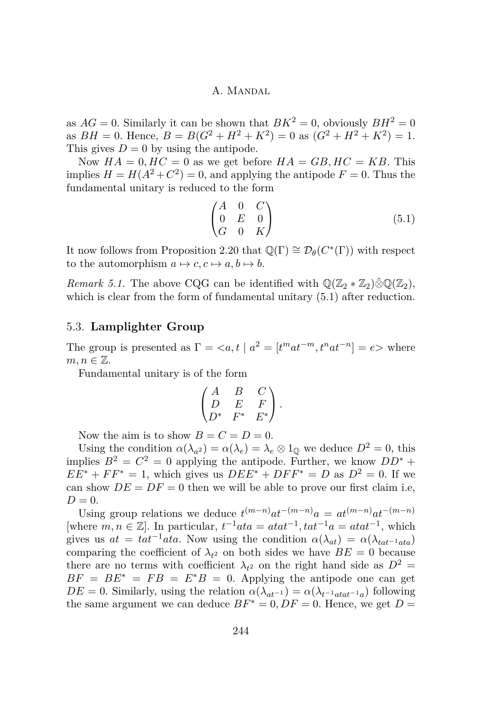as  $AG = 0$ . Similarly it can be shown that  $BK^2 = 0$ , obviously  $BH^2 = 0$ as  $BH = 0$ . Hence,  $B = B(G^2 + H^2 + K^2) = 0$  as  $(G^2 + H^2 + K^2) = 1$ . This gives  $D = 0$  by using the antipode.

Now  $HA = 0$ ,  $HC = 0$  as we get before  $HA = GB$ ,  $HC = KB$ . This implies  $H = H(A^2 + C^2) = 0$ , and applying the antipode  $F = 0$ . Thus the fundamental unitary is reduced to the form

<span id="page-26-0"></span>
$$
\begin{pmatrix}\nA & 0 & C \\
0 & E & 0 \\
G & 0 & K\n\end{pmatrix}
$$
\n(5.1)

It now follows from Proposition [2.20](#page-10-0) that  $\mathbb{Q}(\Gamma) \cong \mathcal{D}_{\theta}(C^*(\Gamma))$  with respect to the automorphism  $a \mapsto c, c \mapsto a, b \mapsto b$ .

*Remark 5.1.* The above CQG can be identified with  $\mathbb{Q}(\mathbb{Z}_2 * \mathbb{Z}_2) \hat{\otimes} \mathbb{Q}(\mathbb{Z}_2)$ , which is clear from the form of fundamental unitary  $(5.1)$  after reduction.

# 5.3. **Lamplighter Group**

The group is presented as  $\Gamma = \langle a, t \mid a^2 = [t^m a t^{-m}, t^n a t^{-n}] = e \rangle$  where  $m, n \in \mathbb{Z}$ .

Fundamental unitary is of the form

$$
\begin{pmatrix} A & B & C \\ D & E & F \\ D^* & F^* & E^* \end{pmatrix}.
$$

Now the aim is to show  $B = C = D = 0$ .

Using the condition  $\alpha(\lambda_{a^2}) = \alpha(\lambda_e) = \lambda_e \otimes 1_{\mathbb{Q}}$  we deduce  $D^2 = 0$ , this implies  $B^2 = C^2 = 0$  applying the antipode. Further, we know  $DD^*$  +  $EE^* + FF^* = 1$ , which gives us  $DEE^* + DFF^* = D$  as  $D^2 = 0$ . If we can show  $DE = DF = 0$  then we will be able to prove our first claim i.e,  $D = 0$ .

Using group relations we deduce  $t^{(m-n)}at^{-(m-n)}a = at^{(m-n)}at^{-(m-n)}$ [where  $m, n \in \mathbb{Z}$ ]. In particular,  $t^{-1}ata = atat^{-1}$ ,  $tat^{-1}a = atat^{-1}$ , which gives us  $at = tat^{-1}ata$ . Now using the condition  $\alpha(\lambda_{at}) = \alpha(\lambda_{tat^{-1}ata})$ comparing the coefficient of  $\lambda_{t^2}$  on both sides we have  $BE = 0$  because there are no terms with coefficient  $\lambda_{t^2}$  on the right hand side as  $D^2 =$  $BF = BE^* = FB = E^*B = 0$ . Applying the antipode one can get  $DE = 0$ . Similarly, using the relation  $\alpha(\lambda_{at^{-1}}) = \alpha(\lambda_{t^{-1}atat^{-1}a})$  following the same argument we can deduce  $BF^* = 0$ ,  $DF = 0$ . Hence, we get  $D =$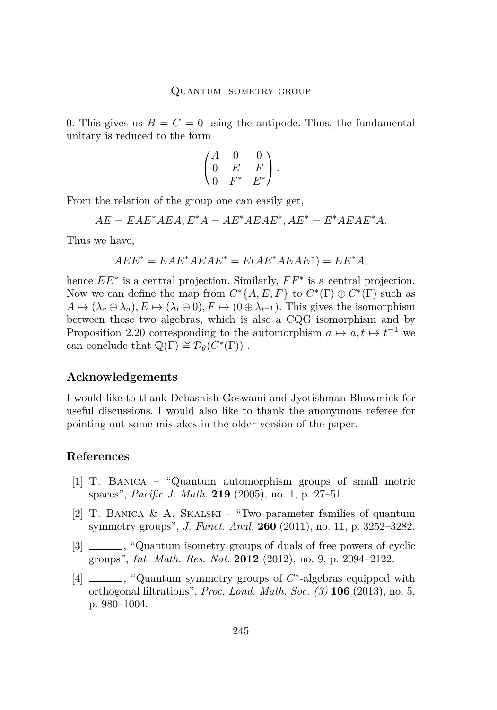0. This gives us  $B = C = 0$  using the antipode. Thus, the fundamental unitary is reduced to the form

$$
\begin{pmatrix} A & 0 & 0 \\ 0 & E & F \\ 0 & F^* & E^* \end{pmatrix}.
$$

From the relation of the group one can easily get,

 $AE = EAE^* AEA, E^*A = AE^* AEAE^*, AE^* = E^* AEAE^* A.$ 

Thus we have,

$$
AEE^* = EAE^*AEAE^* = E(AE^*AEAE^*) = EE^*A,
$$

hence  $EE^*$  is a central projection. Similarly,  $FF^*$  is a central projection. Now we can define the map from  $C^*\{A, E, F\}$  to  $C^*(\Gamma) \oplus C^*(\Gamma)$  such as  $A \mapsto (\lambda_a \oplus \lambda_a), E \mapsto (\lambda_t \oplus 0), F \mapsto (0 \oplus \lambda_{t-1}).$  This gives the isomorphism between these two algebras, which is also a CQG isomorphism and by Proposition [2.20](#page-10-0) corresponding to the automorphism  $a \mapsto a, t \mapsto t^{-1}$  we can conclude that  $\mathbb{Q}(\Gamma) \cong \mathcal{D}_{\theta}(\widetilde{C}^*(\Gamma))$ .

### **Acknowledgements**

I would like to thank Debashish Goswami and Jyotishman Bhowmick for useful discussions. I would also like to thank the anonymous referee for pointing out some mistakes in the older version of the paper.

### **References**

- <span id="page-27-2"></span>[1] T. Banica – "Quantum automorphism groups of small metric spaces", *Pacific J. Math.* **219** (2005), no. 1, p. 27–51.
- <span id="page-27-3"></span>[2] T. Banica & A. Skalski – "Two parameter families of quantum symmetry groups", *J. Funct. Anal.* **260** (2011), no. 11, p. 3252–3282.
- <span id="page-27-0"></span>[3]  $\frac{1}{2}$ , "Quantum isometry groups of duals of free powers of cyclic groups", *Int. Math. Res. Not.* **2012** (2012), no. 9, p. 2094–2122.
- <span id="page-27-1"></span>[4] \_\_\_\_, "Quantum symmetry groups of  $C^*$ -algebras equipped with orthogonal filtrations", *Proc. Lond. Math. Soc. (3)* **106** (2013), no. 5, p. 980–1004.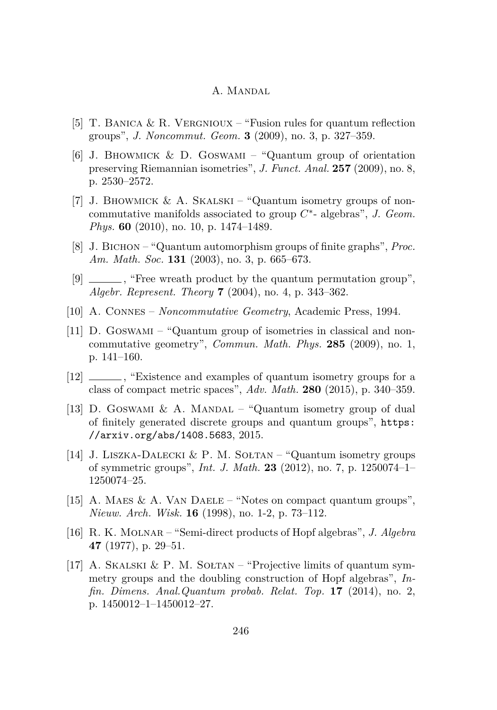- <span id="page-28-12"></span>[5] T. BANICA & R. VERGNIOUX – "Fusion rules for quantum reflection groups", *J. Noncommut. Geom.* **3** (2009), no. 3, p. 327–359.
- <span id="page-28-6"></span>[6] J. BHOWMICK & D. GOSWAMI – "Quantum group of orientation preserving Riemannian isometries", *J. Funct. Anal.* **257** (2009), no. 8, p. 2530–2572.
- <span id="page-28-4"></span>[7] J. BHOWMICK & A. SKALSKI – "Quantum isometry groups of noncommutative manifolds associated to group *C* ∗ - algebras", *J. Geom. Phys.* **60** (2010), no. 10, p. 1474–1489.
- <span id="page-28-1"></span>[8] J. Bichon – "Quantum automorphism groups of finite graphs", *Proc. Am. Math. Soc.* **131** (2003), no. 3, p. 665–673.
- <span id="page-28-8"></span>[9]  $\equiv$ , "Free wreath product by the quantum permutation group", *Algebr. Represent. Theory* **7** (2004), no. 4, p. 343–362.
- <span id="page-28-3"></span>[10] A. Connes – *Noncommutative Geometry*, Academic Press, 1994.
- <span id="page-28-2"></span>[11] D. Goswami – "Quantum group of isometries in classical and noncommutative geometry", *Commun. Math. Phys.* **285** (2009), no. 1, p. 141–160.
- <span id="page-28-9"></span>[12]  $\frac{12}{\frac{12}{\frac{12}{\frac{12}{\frac{12}{\frac{12}{\frac{12}{\frac{12}{\frac{12}{\frac{12}{\frac{12}{\frac{12}{\frac{12}{\frac{12}{\frac{12}{\frac{12}{\frac{12}{\frac{12}{\frac{12}{\frac{12}{\frac{12}{\frac{12}{\frac{12}{\frac{12}{\frac{12}{\frac{12}{\frac{12}{\frac{12}{\frac{12}{\frac{12}{\frac{12}{\frac{12}{\frac{12}{\frac{12}{\frac{12}{\frac{12}{$ class of compact metric spaces", *Adv. Math.* **280** (2015), p. 340–359.
- <span id="page-28-0"></span>[13] D. GOSWAMI & A. MANDAL – "Quantum isometry group of dual of finitely generated discrete groups and quantum groups", [https:](https://arxiv.org/abs/1408.5683) [//arxiv.org/abs/1408.5683](https://arxiv.org/abs/1408.5683), 2015.
- <span id="page-28-5"></span>[14] J. Liszka-Dalecki & P. M. Sołtan – "Quantum isometry groups of symmetric groups", *Int. J. Math.* **23** (2012), no. 7, p. 1250074–1– 1250074–25.
- <span id="page-28-7"></span>[15] A. MAES & A. VAN DAELE – "Notes on compact quantum groups", *Nieuw. Arch. Wisk.* **16** (1998), no. 1-2, p. 73–112.
- <span id="page-28-11"></span>[16] R. K. Molnar – "Semi-direct products of Hopf algebras", *J. Algebra* **47** (1977), p. 29–51.
- <span id="page-28-10"></span>[17] A. SKALSKI & P. M. SOŁTAN – "Projective limits of quantum symmetry groups and the doubling construction of Hopf algebras", *Infin. Dimens. Anal.Quantum probab. Relat. Top.* **17** (2014), no. 2, p. 1450012–1–1450012–27.